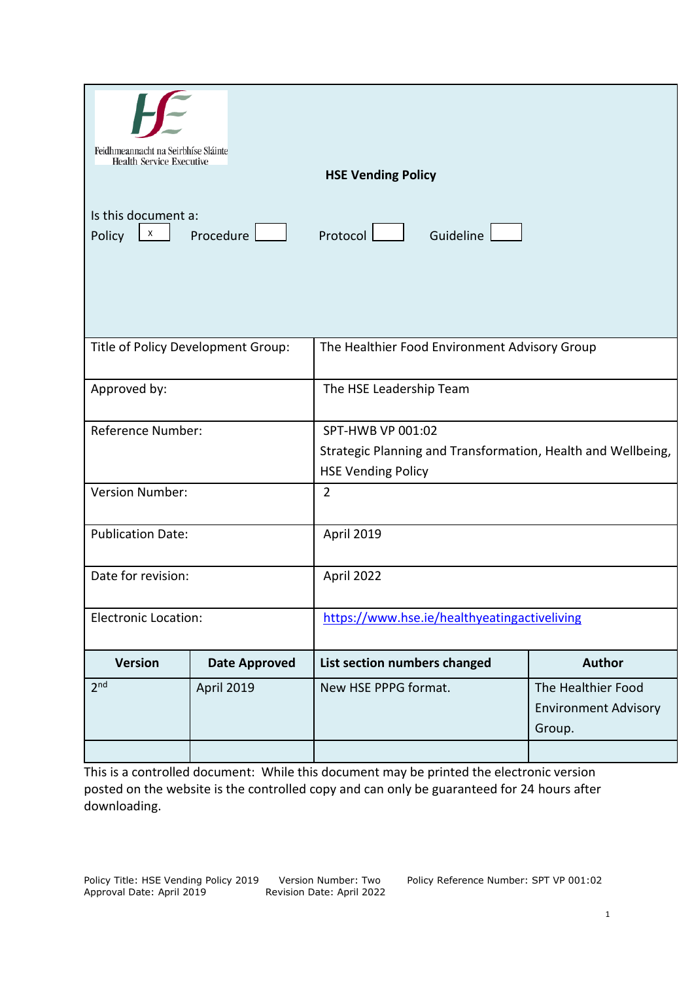| Feidhmeannacht na Seirbhíse Sláinte<br><b>Health Service Executive</b>           |                                    |                                                              |                             |
|----------------------------------------------------------------------------------|------------------------------------|--------------------------------------------------------------|-----------------------------|
|                                                                                  |                                    | <b>HSE Vending Policy</b>                                    |                             |
| Is this document a:<br>Procedure $\boxed{\phantom{a}}$<br>$\mathsf{X}$<br>Policy |                                    | Guideline<br>Protocol                                        |                             |
|                                                                                  |                                    |                                                              |                             |
|                                                                                  | Title of Policy Development Group: | The Healthier Food Environment Advisory Group                |                             |
| Approved by:                                                                     |                                    | The HSE Leadership Team                                      |                             |
| Reference Number:                                                                |                                    | SPT-HWB VP 001:02                                            |                             |
|                                                                                  |                                    | Strategic Planning and Transformation, Health and Wellbeing, |                             |
|                                                                                  |                                    | <b>HSE Vending Policy</b>                                    |                             |
| <b>Version Number:</b>                                                           |                                    | $\overline{2}$                                               |                             |
| <b>Publication Date:</b>                                                         |                                    | April 2019                                                   |                             |
| Date for revision:                                                               |                                    | April 2022                                                   |                             |
| <b>Electronic Location:</b>                                                      |                                    | https://www.hse.ie/healthyeatingactiveliving                 |                             |
| <b>Version</b>                                                                   | <b>Date Approved</b>               | List section numbers changed                                 | <b>Author</b>               |
| 2 <sub>nd</sub>                                                                  | April 2019                         | New HSE PPPG format.                                         | The Healthier Food          |
|                                                                                  |                                    |                                                              | <b>Environment Advisory</b> |
|                                                                                  |                                    |                                                              | Group.                      |
|                                                                                  |                                    |                                                              |                             |

This is a controlled document: While this document may be printed the electronic version posted on the website is the controlled copy and can only be guaranteed for 24 hours after downloading.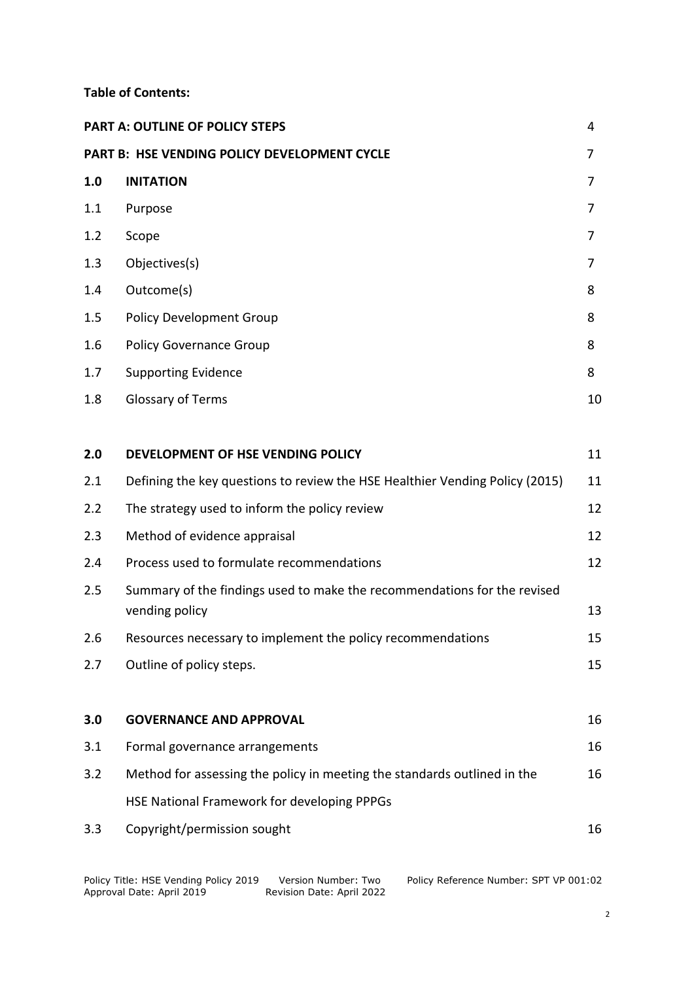#### **Table of Contents:**

|     | PART A: OUTLINE OF POLICY STEPS                                                            | 4  |
|-----|--------------------------------------------------------------------------------------------|----|
|     | PART B: HSE VENDING POLICY DEVELOPMENT CYCLE                                               | 7  |
| 1.0 | <b>INITATION</b>                                                                           | 7  |
| 1.1 | Purpose                                                                                    | 7  |
| 1.2 | Scope                                                                                      | 7  |
| 1.3 | Objectives(s)                                                                              | 7  |
| 1.4 | Outcome(s)                                                                                 | 8  |
| 1.5 | <b>Policy Development Group</b>                                                            | 8  |
| 1.6 | <b>Policy Governance Group</b>                                                             | 8  |
| 1.7 | <b>Supporting Evidence</b>                                                                 | 8  |
| 1.8 | Glossary of Terms                                                                          | 10 |
| 2.0 | DEVELOPMENT OF HSE VENDING POLICY                                                          | 11 |
| 2.1 | Defining the key questions to review the HSE Healthier Vending Policy (2015)               | 11 |
| 2.2 | The strategy used to inform the policy review                                              | 12 |
| 2.3 | Method of evidence appraisal                                                               | 12 |
| 2.4 | Process used to formulate recommendations                                                  | 12 |
| 2.5 | Summary of the findings used to make the recommendations for the revised<br>vending policy | 13 |
| 2.6 | Resources necessary to implement the policy recommendations                                | 15 |
| 2.7 | Outline of policy steps.                                                                   | 15 |
| 3.0 | <b>GOVERNANCE AND APPROVAL</b>                                                             | 16 |
| 3.1 | Formal governance arrangements                                                             | 16 |
| 3.2 | Method for assessing the policy in meeting the standards outlined in the                   | 16 |
|     | HSE National Framework for developing PPPGs                                                |    |
| 3.3 | Copyright/permission sought                                                                | 16 |
|     |                                                                                            |    |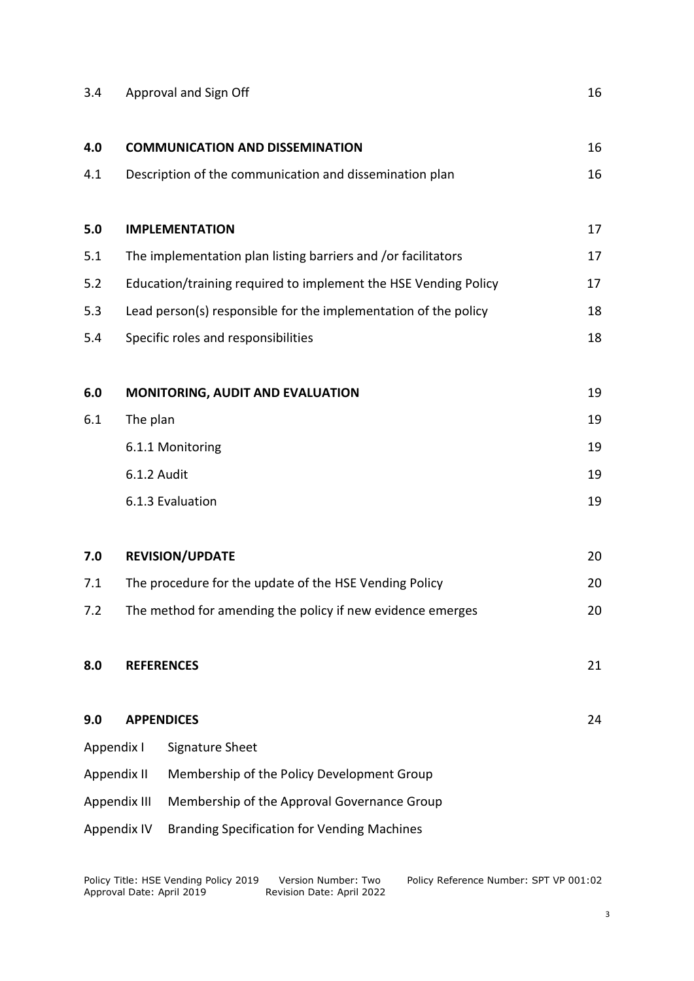# 3.4 Approval and Sign Off 16

| 4.0 |                                                        | <b>COMMUNICATION AND DISSEMINATION</b>                          | 16 |
|-----|--------------------------------------------------------|-----------------------------------------------------------------|----|
| 4.1 |                                                        | Description of the communication and dissemination plan         | 16 |
|     |                                                        |                                                                 |    |
| 5.0 |                                                        | <b>IMPLEMENTATION</b>                                           | 17 |
| 5.1 |                                                        | The implementation plan listing barriers and /or facilitators   | 17 |
| 5.2 |                                                        | Education/training required to implement the HSE Vending Policy | 17 |
| 5.3 |                                                        | Lead person(s) responsible for the implementation of the policy | 18 |
| 5.4 | Specific roles and responsibilities                    |                                                                 | 18 |
| 6.0 |                                                        | MONITORING, AUDIT AND EVALUATION                                | 19 |
| 6.1 | The plan                                               |                                                                 | 19 |
|     | 6.1.1 Monitoring                                       |                                                                 |    |
|     | 6.1.2 Audit                                            |                                                                 | 19 |
|     |                                                        | 6.1.3 Evaluation                                                | 19 |
| 7.0 |                                                        | <b>REVISION/UPDATE</b>                                          | 20 |
| 7.1 | The procedure for the update of the HSE Vending Policy |                                                                 | 20 |
| 7.2 |                                                        | The method for amending the policy if new evidence emerges      | 20 |
| 8.0 |                                                        | <b>REFERENCES</b>                                               | 21 |
| 9.0 |                                                        | <b>APPENDICES</b>                                               | 24 |
|     | Appendix I                                             | Signature Sheet                                                 |    |
|     | Appendix II                                            | Membership of the Policy Development Group                      |    |
|     | Appendix III                                           | Membership of the Approval Governance Group                     |    |
|     | Appendix IV                                            | <b>Branding Specification for Vending Machines</b>              |    |
|     |                                                        |                                                                 |    |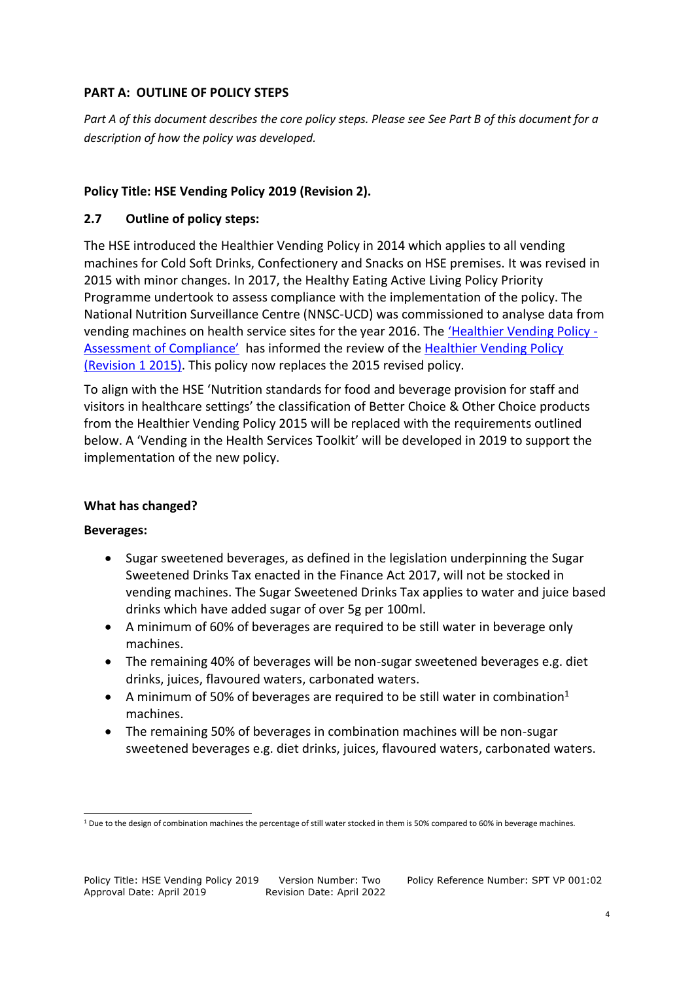#### **PART A: OUTLINE OF POLICY STEPS**

*Part A of this document describes the core policy steps. Please see See Part B of this document for a description of how the policy was developed.* 

# **Policy Title: HSE Vending Policy 2019 (Revision 2).**

# **2.7 Outline of policy steps:**

The HSE introduced the Healthier Vending Policy in 2014 which applies to all vending machines for Cold Soft Drinks, Confectionery and Snacks on HSE premises. It was revised in 2015 with minor changes. In 2017, the Healthy Eating Active Living Policy Priority Programme undertook to assess compliance with the implementation of the policy. The National Nutrition Surveillance Centre (NNSC-UCD) was commissioned to analyse data from vending machines on health service sites for the year 2016. The ['Healthier Vending Policy](https://www.hse.ie/eng/about/who/healthwellbeing/our-priority-programmes/heal/heal-docs/hse-healthier-vending-policy-assessment-of-compliance-november-2018.pdf) - As[sessment of Compliance'](https://www.hse.ie/eng/about/who/healthwellbeing/our-priority-programmes/heal/heal-docs/hse-healthier-vending-policy-assessment-of-compliance-november-2018.pdf) has informed the review of the [Healthier Vending Policy](https://www.hse.ie/eng/about/who/healthwellbeing/our-priority-programmes/heal/heal-docs/hse-healthier-vending-policy-june-2015.pdf)  [\(Revision 1 2015\).](https://www.hse.ie/eng/about/who/healthwellbeing/our-priority-programmes/heal/heal-docs/hse-healthier-vending-policy-june-2015.pdf) This policy now replaces the 2015 revised policy.

To align with the HSE 'Nutrition standards for food and beverage provision for staff and visitors in healthcare settings' the classification of Better Choice & Other Choice products from the Healthier Vending Policy 2015 will be replaced with the requirements outlined below. A 'Vending in the Health Services Toolkit' will be developed in 2019 to support the implementation of the new policy.

# **What has changed?**

# **Beverages:**

1

- Sugar sweetened beverages, as defined in the legislation underpinning the Sugar Sweetened Drinks Tax enacted in the Finance Act 2017, will not be stocked in vending machines. The Sugar Sweetened Drinks Tax applies to water and juice based drinks which have added sugar of over 5g per 100ml.
- A minimum of 60% of beverages are required to be still water in beverage only machines.
- The remaining 40% of beverages will be non-sugar sweetened beverages e.g. diet drinks, juices, flavoured waters, carbonated waters.
- A minimum of 50% of beverages are required to be still water in combination<sup>1</sup> machines.
- The remaining 50% of beverages in combination machines will be non-sugar sweetened beverages e.g. diet drinks, juices, flavoured waters, carbonated waters.

<sup>&</sup>lt;sup>1</sup> Due to the design of combination machines the percentage of still water stocked in them is 50% compared to 60% in beverage machines.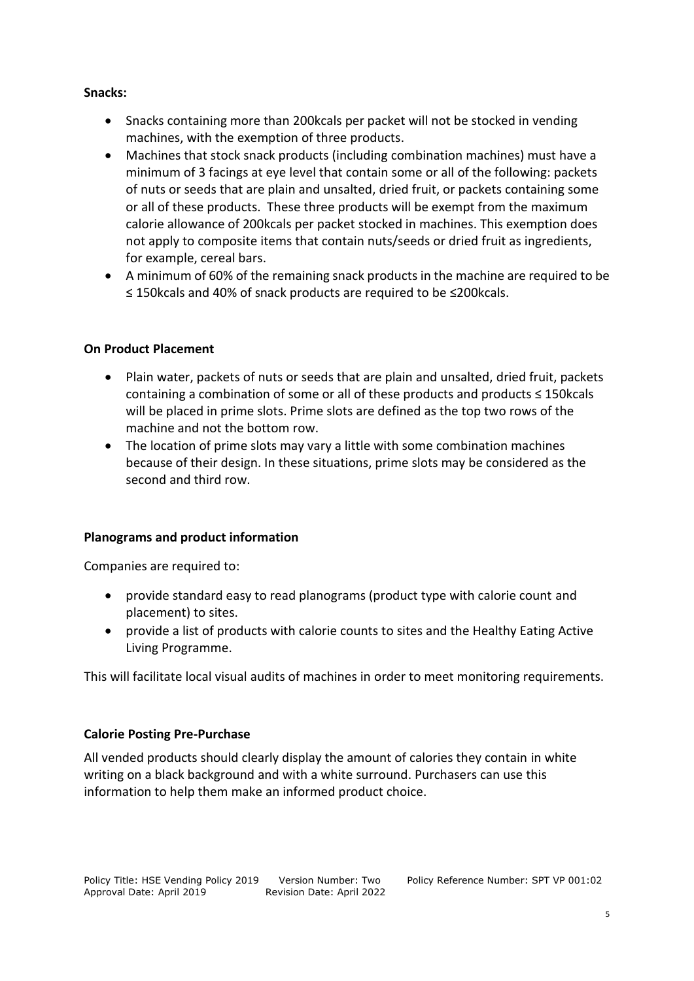#### **Snacks:**

- Snacks containing more than 200 kcals per packet will not be stocked in vending machines, with the exemption of three products.
- Machines that stock snack products (including combination machines) must have a minimum of 3 facings at eye level that contain some or all of the following: packets of nuts or seeds that are plain and unsalted, dried fruit, or packets containing some or all of these products. These three products will be exempt from the maximum calorie allowance of 200kcals per packet stocked in machines. This exemption does not apply to composite items that contain nuts/seeds or dried fruit as ingredients, for example, cereal bars.
- A minimum of 60% of the remaining snack products in the machine are required to be ≤ 150kcals and 40% of snack products are required to be ≤200kcals.

# **On Product Placement**

- Plain water, packets of nuts or seeds that are plain and unsalted, dried fruit, packets containing a combination of some or all of these products and products ≤ 150kcals will be placed in prime slots. Prime slots are defined as the top two rows of the machine and not the bottom row.
- The location of prime slots may vary a little with some combination machines because of their design. In these situations, prime slots may be considered as the second and third row.

# **Planograms and product information**

Companies are required to:

- provide standard easy to read planograms (product type with calorie count and placement) to sites.
- provide a list of products with calorie counts to sites and the Healthy Eating Active Living Programme.

This will facilitate local visual audits of machines in order to meet monitoring requirements.

# **Calorie Posting Pre-Purchase**

All vended products should clearly display the amount of calories they contain in white writing on a black background and with a white surround. Purchasers can use this information to help them make an informed product choice.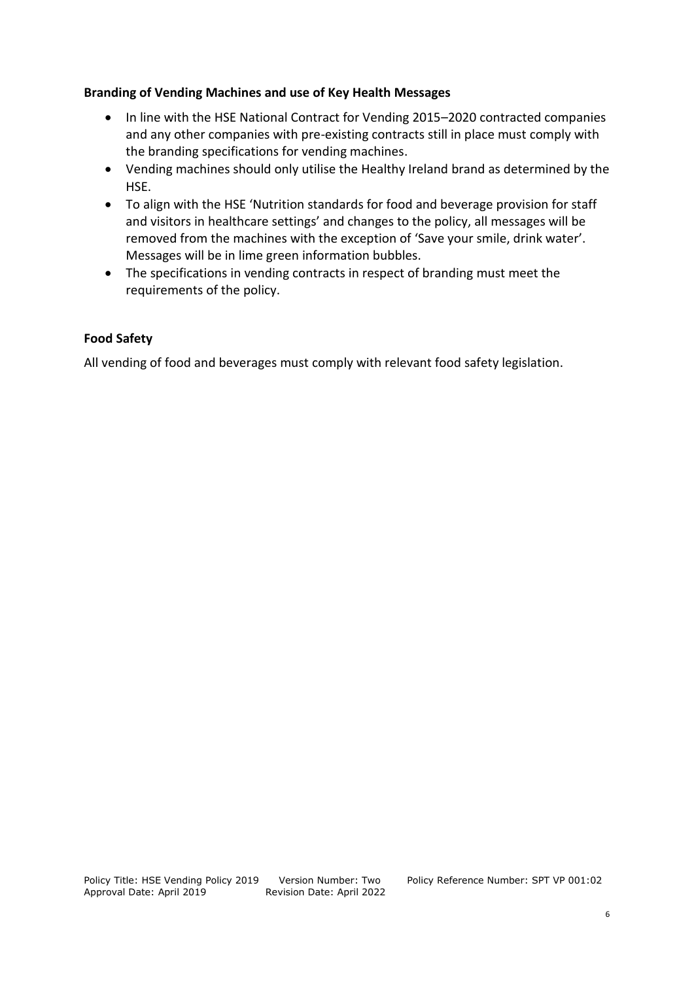#### **Branding of Vending Machines and use of Key Health Messages**

- In line with the HSE National Contract for Vending 2015-2020 contracted companies and any other companies with pre-existing contracts still in place must comply with the branding specifications for vending machines.
- Vending machines should only utilise the Healthy Ireland brand as determined by the HSE.
- To align with the HSE 'Nutrition standards for food and beverage provision for staff and visitors in healthcare settings' and changes to the policy, all messages will be removed from the machines with the exception of 'Save your smile, drink water'. Messages will be in lime green information bubbles.
- The specifications in vending contracts in respect of branding must meet the requirements of the policy.

# **Food Safety**

All vending of food and beverages must comply with relevant food safety legislation.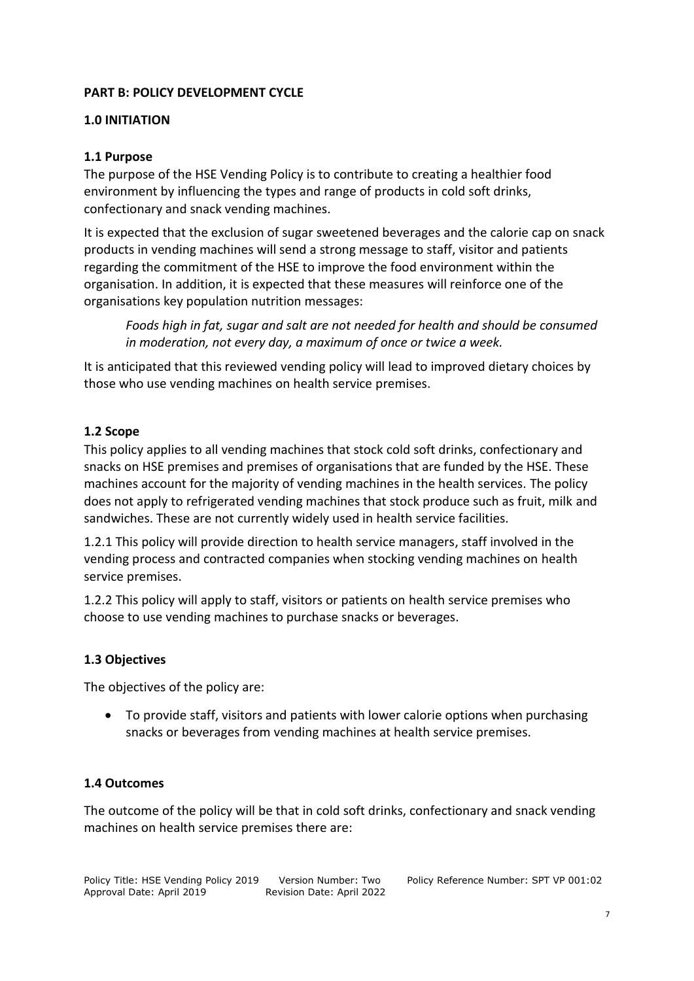# **PART B: POLICY DEVELOPMENT CYCLE**

#### **1.0 INITIATION**

#### **1.1 Purpose**

The purpose of the HSE Vending Policy is to contribute to creating a healthier food environment by influencing the types and range of products in cold soft drinks, confectionary and snack vending machines.

It is expected that the exclusion of sugar sweetened beverages and the calorie cap on snack products in vending machines will send a strong message to staff, visitor and patients regarding the commitment of the HSE to improve the food environment within the organisation. In addition, it is expected that these measures will reinforce one of the organisations key population nutrition messages:

*Foods high in fat, sugar and salt are not needed for health and should be consumed in moderation, not every day, a maximum of once or twice a week.*

It is anticipated that this reviewed vending policy will lead to improved dietary choices by those who use vending machines on health service premises.

#### **1.2 Scope**

This policy applies to all vending machines that stock cold soft drinks, confectionary and snacks on HSE premises and premises of organisations that are funded by the HSE. These machines account for the majority of vending machines in the health services. The policy does not apply to refrigerated vending machines that stock produce such as fruit, milk and sandwiches. These are not currently widely used in health service facilities.

1.2.1 This policy will provide direction to health service managers, staff involved in the vending process and contracted companies when stocking vending machines on health service premises.

1.2.2 This policy will apply to staff, visitors or patients on health service premises who choose to use vending machines to purchase snacks or beverages.

#### **1.3 Objectives**

The objectives of the policy are:

 To provide staff, visitors and patients with lower calorie options when purchasing snacks or beverages from vending machines at health service premises.

#### **1.4 Outcomes**

The outcome of the policy will be that in cold soft drinks, confectionary and snack vending machines on health service premises there are: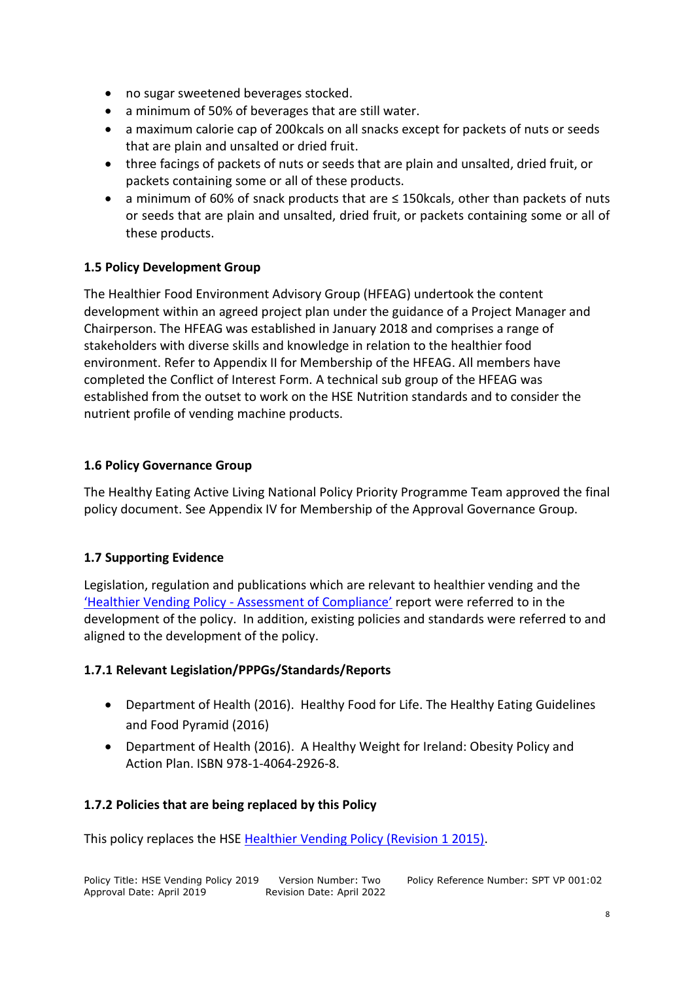- no sugar sweetened beverages stocked.
- a minimum of 50% of beverages that are still water.
- a maximum calorie cap of 200kcals on all snacks except for packets of nuts or seeds that are plain and unsalted or dried fruit.
- three facings of packets of nuts or seeds that are plain and unsalted, dried fruit, or packets containing some or all of these products.
- a minimum of 60% of snack products that are ≤ 150kcals, other than packets of nuts or seeds that are plain and unsalted, dried fruit, or packets containing some or all of these products.

# **1.5 Policy Development Group**

The Healthier Food Environment Advisory Group (HFEAG) undertook the content development within an agreed project plan under the guidance of a Project Manager and Chairperson. The HFEAG was established in January 2018 and comprises a range of stakeholders with diverse skills and knowledge in relation to the healthier food environment. Refer to Appendix II for Membership of the HFEAG. All members have completed the Conflict of Interest Form. A technical sub group of the HFEAG was established from the outset to work on the HSE Nutrition standards and to consider the nutrient profile of vending machine products.

# **1.6 Policy Governance Group**

The Healthy Eating Active Living National Policy Priority Programme Team approved the final policy document. See Appendix IV for Membership of the Approval Governance Group.

# **1.7 Supporting Evidence**

Legislation, regulation and publications which are relevant to healthier vending and the 'Healthier Vending Policy - [Assessment of Compliance'](https://www.hse.ie/eng/about/who/healthwellbeing/our-priority-programmes/heal/heal-docs/hse-healthier-vending-policy-assessment-of-compliance-november-2018.pdf) report were referred to in the development of the policy. In addition, existing policies and standards were referred to and aligned to the development of the policy.

# **1.7.1 Relevant Legislation/PPPGs/Standards/Reports**

- Department of Health (2016). Healthy Food for Life. The Healthy Eating Guidelines and Food Pyramid (2016)
- Department of Health (2016). A Healthy Weight for Ireland: Obesity Policy and Action Plan. ISBN 978-1-4064-2926-8.

# **1.7.2 Policies that are being replaced by this Policy**

This policy replaces the HS[E Healthier Vending Policy \(Revision 1 2015\).](https://www.hse.ie/eng/about/who/healthwellbeing/our-priority-programmes/heal/heal-docs/hse-healthier-vending-policy-june-2015.pdf)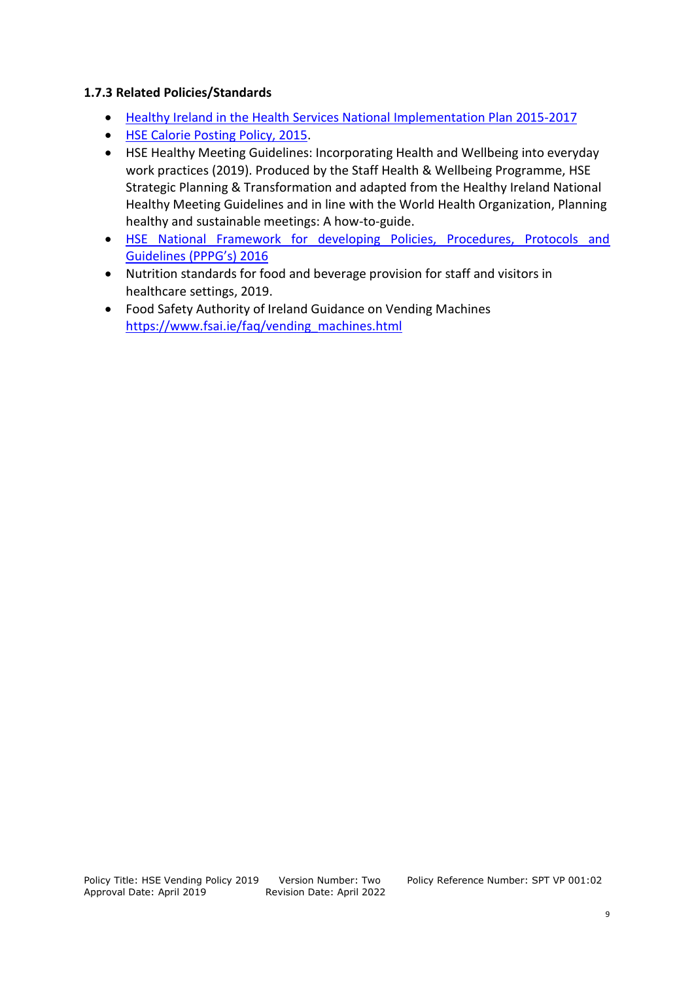# **1.7.3 Related Policies/Standards**

- [Healthy Ireland in the Health Services National Implementation Plan 2015-2017](https://www.hse.ie/eng/about/who/healthwellbeing/healthy-ireland/healthy-ireland-in-the-health-services-implementation-plan-2015-2017.pdf)
- **[HSE Calorie Posting Policy, 2015.](https://www.hse.ie/eng/health/hl/calorieposting/caloriepostingpolicy.pdf)**
- HSE Healthy Meeting Guidelines: Incorporating Health and Wellbeing into everyday work practices (2019). Produced by the Staff Health & Wellbeing Programme, HSE Strategic Planning & Transformation and adapted from the Healthy Ireland National Healthy Meeting Guidelines and in line with the World Health Organization, Planning healthy and sustainable meetings: A how-to-guide.
- HSE [National Framework for developing Policies, Procedures, Protocols and](https://www.hse.ie/eng/about/who/qid/use-of-improvement-methods/nationalframeworkdevelopingpolicies/hse-national-framework-for-developing-policies-procedures-protocols-and-guidelines-pppgs-2016.pdf)  [Guidelines \(PPPG's\) 2016](https://www.hse.ie/eng/about/who/qid/use-of-improvement-methods/nationalframeworkdevelopingpolicies/hse-national-framework-for-developing-policies-procedures-protocols-and-guidelines-pppgs-2016.pdf)
- Nutrition standards for food and beverage provision for staff and visitors in healthcare settings, 2019.
- Food Safety Authority of Ireland Guidance on Vending Machines [https://www.fsai.ie/faq/vending\\_machines.html](https://www.fsai.ie/faq/vending_machines.html)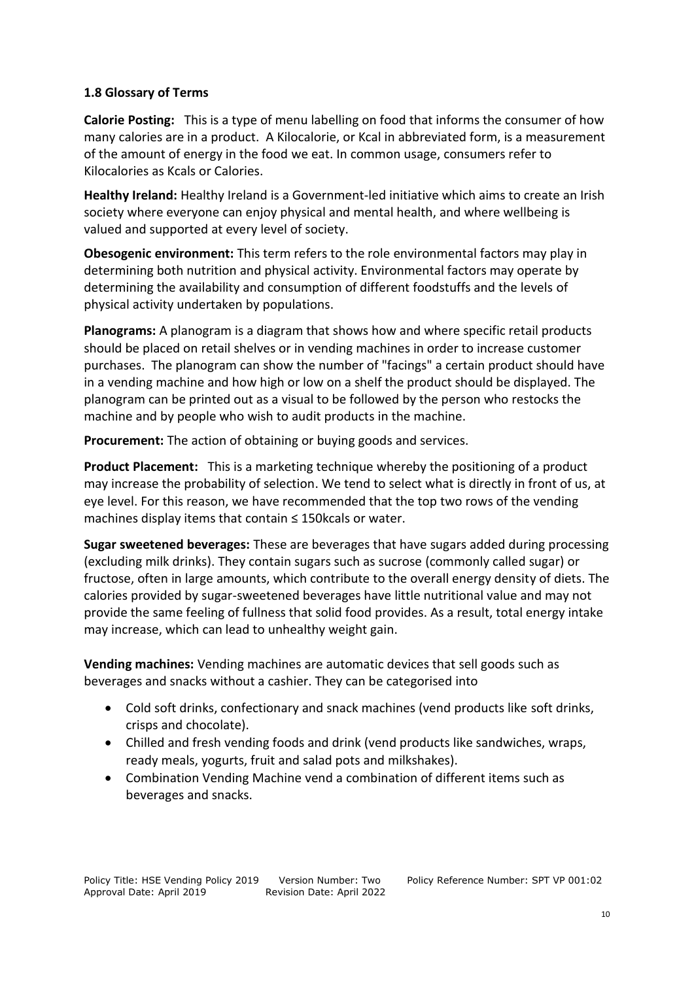# **1.8 Glossary of Terms**

**Calorie Posting:** This is a type of menu labelling on food that informs the consumer of how many calories are in a product. A Kilocalorie, or Kcal in abbreviated form, is a measurement of the amount of energy in the food we eat. In common usage, consumers refer to Kilocalories as Kcals or Calories.

**Healthy Ireland:** Healthy Ireland is a Government-led initiative which aims to create an Irish society where everyone can enjoy physical and mental health, and where wellbeing is valued and supported at every level of society.

**Obesogenic environment:** This term refers to the role environmental factors may play in determining both nutrition and physical activity. Environmental factors may operate by determining the availability and consumption of different foodstuffs and the levels of physical activity undertaken by populations.

**Planograms:** A planogram is a diagram that shows how and where specific retail products should be placed on retail shelves or in vending machines in order to increase customer purchases. The planogram can show the number of "facings" a certain product should have in a vending machine and how high or low on a shelf the product should be displayed. The planogram can be printed out as a visual to be followed by the person who restocks the machine and by people who wish to audit products in the machine.

**Procurement:** The action of obtaining or buying goods and services.

**Product Placement:** This is a [marketing](https://en.wikipedia.org/wiki/Marketing) technique whereby the positioning of a product may increase the probability of selection. We tend to select what is directly in front of us, at eye level. For this reason, we have recommended that the top two rows of the vending machines display items that contain ≤ 150kcals or water.

**Sugar sweetened beverages:** These are beverages that have sugars added during processing (excluding milk drinks). They contain sugars such as sucrose (commonly called sugar) or fructose, often in large amounts, which contribute to the overall energy density of diets. The calories provided by sugar-sweetened beverages have little nutritional value and may not provide the same feeling of fullness that solid food provides. As a result, total energy intake may increase, which can lead to unhealthy weight gain.

**Vending machines:** Vending machines are automatic devices that sell goods such as beverages and snacks without a cashier. They can be categorised into

- Cold soft drinks, confectionary and snack machines (vend products like soft drinks, crisps and chocolate).
- Chilled and fresh vending foods and drink (vend products like sandwiches, wraps, ready meals, yogurts, fruit and salad pots and milkshakes).
- Combination Vending Machine vend a combination of different items such as beverages and snacks.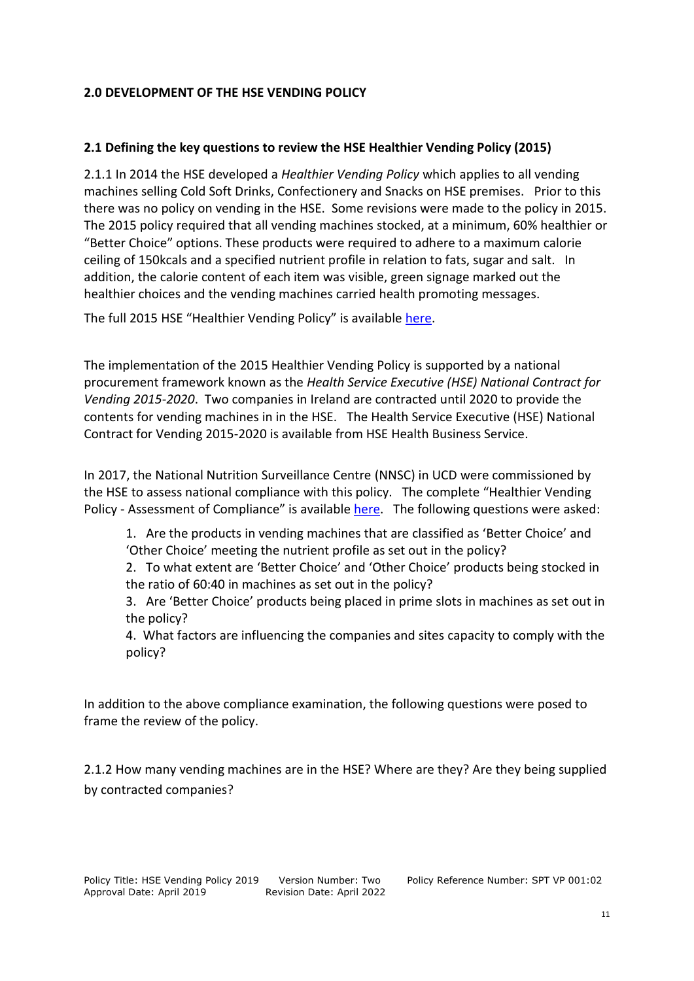#### **2.0 DEVELOPMENT OF THE HSE VENDING POLICY**

# **2.1 Defining the key questions to review the HSE Healthier Vending Policy (2015)**

2.1.1 In 2014 the HSE developed a *Healthier Vending Policy* which applies to all vending machines selling Cold Soft Drinks, Confectionery and Snacks on HSE premises. Prior to this there was no policy on vending in the HSE. Some revisions were made to the policy in 2015. The 2015 policy required that all vending machines stocked, at a minimum, 60% healthier or "Better Choice" options. These products were required to adhere to a maximum calorie ceiling of 150kcals and a specified nutrient profile in relation to fats, sugar and salt. In addition, the calorie content of each item was visible, green signage marked out the healthier choices and the vending machines carried health promoting messages.

The full 2015 HSE "Healthier Vending Policy" is available [here.](https://www.hse.ie/eng/about/who/healthwellbeing/our-priority-programmes/heal/heal-docs/hse-healthier-vending-policy-june-2015.pdf)

The implementation of the 2015 Healthier Vending Policy is supported by a national procurement framework known as the *Health Service Executive (HSE) National Contract for Vending 2015-2020*. Two companies in Ireland are contracted until 2020 to provide the contents for vending machines in in the HSE. The Health Service Executive (HSE) National Contract for Vending 2015-2020 is available from HSE Health Business Service.

In 2017, the National Nutrition Surveillance Centre (NNSC) in UCD were commissioned by the HSE to assess national compliance with this policy. The complete "Healthier Vending Policy - Assessment of Compliance" is available [here.](https://www.hse.ie/eng/about/who/healthwellbeing/our-priority-programmes/heal/heal-docs/hse-healthier-vending-policy-assessment-of-compliance-november-2018.pdf) The following questions were asked:

1. Are the products in vending machines that are classified as 'Better Choice' and 'Other Choice' meeting the nutrient profile as set out in the policy?

2. To what extent are 'Better Choice' and 'Other Choice' products being stocked in the ratio of 60:40 in machines as set out in the policy?

3. Are 'Better Choice' products being placed in prime slots in machines as set out in the policy?

4. What factors are influencing the companies and sites capacity to comply with the policy?

In addition to the above compliance examination, the following questions were posed to frame the review of the policy.

2.1.2 How many vending machines are in the HSE? Where are they? Are they being supplied by contracted companies?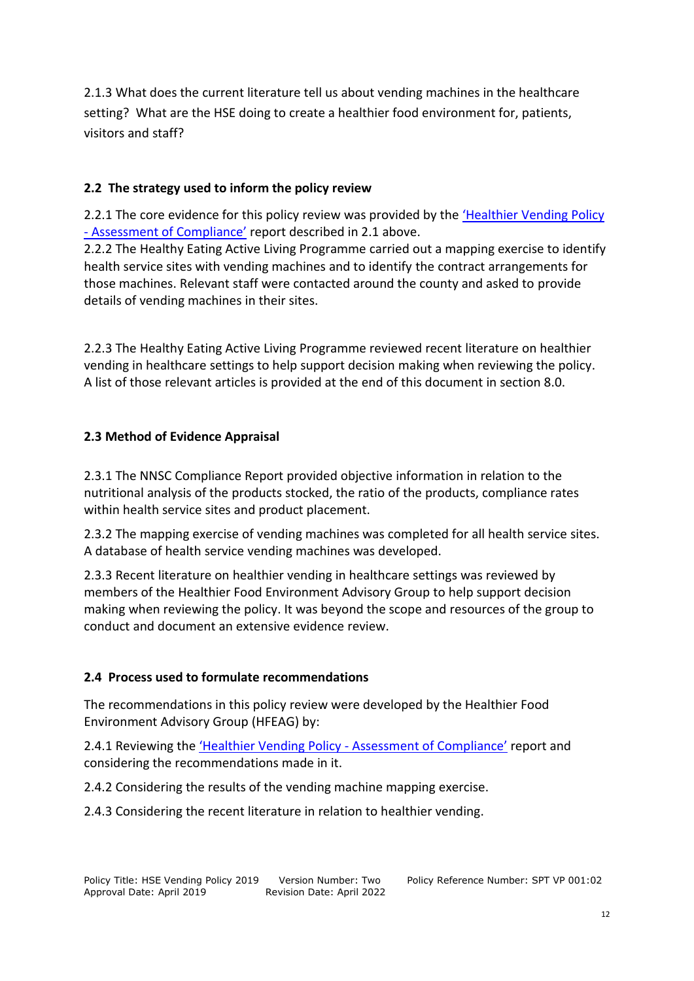2.1.3 What does the current literature tell us about vending machines in the healthcare setting? What are the HSE doing to create a healthier food environment for, patients, visitors and staff?

# **2.2 The strategy used to inform the policy review**

2.2.1 The core evidence for this policy review was provided by the ['Healthier Vending Policy](https://www.hse.ie/eng/about/who/healthwellbeing/our-priority-programmes/heal/heal-docs/hse-healthier-vending-policy-assessment-of-compliance-november-2018.pdf)  - [Assessment of Compliance'](https://www.hse.ie/eng/about/who/healthwellbeing/our-priority-programmes/heal/heal-docs/hse-healthier-vending-policy-assessment-of-compliance-november-2018.pdf) report described in 2.1 above.

2.2.2 The Healthy Eating Active Living Programme carried out a mapping exercise to identify health service sites with vending machines and to identify the contract arrangements for those machines. Relevant staff were contacted around the county and asked to provide details of vending machines in their sites.

2.2.3 The Healthy Eating Active Living Programme reviewed recent literature on healthier vending in healthcare settings to help support decision making when reviewing the policy. A list of those relevant articles is provided at the end of this document in section 8.0.

# **2.3 Method of Evidence Appraisal**

2.3.1 The NNSC Compliance Report provided objective information in relation to the nutritional analysis of the products stocked, the ratio of the products, compliance rates within health service sites and product placement.

2.3.2 The mapping exercise of vending machines was completed for all health service sites. A database of health service vending machines was developed.

2.3.3 Recent literature on healthier vending in healthcare settings was reviewed by members of the Healthier Food Environment Advisory Group to help support decision making when reviewing the policy. It was beyond the scope and resources of the group to conduct and document an extensive evidence review.

# **2.4 Process used to formulate recommendations**

The recommendations in this policy review were developed by the Healthier Food Environment Advisory Group (HFEAG) by:

2.4.1 Reviewing the ['Healthier Vending Policy](https://www.hse.ie/eng/about/who/healthwellbeing/our-priority-programmes/heal/heal-docs/hse-healthier-vending-policy-assessment-of-compliance-november-2018.pdf) - Assessment of Compliance' report and considering the recommendations made in it.

2.4.2 Considering the results of the vending machine mapping exercise.

2.4.3 Considering the recent literature in relation to healthier vending.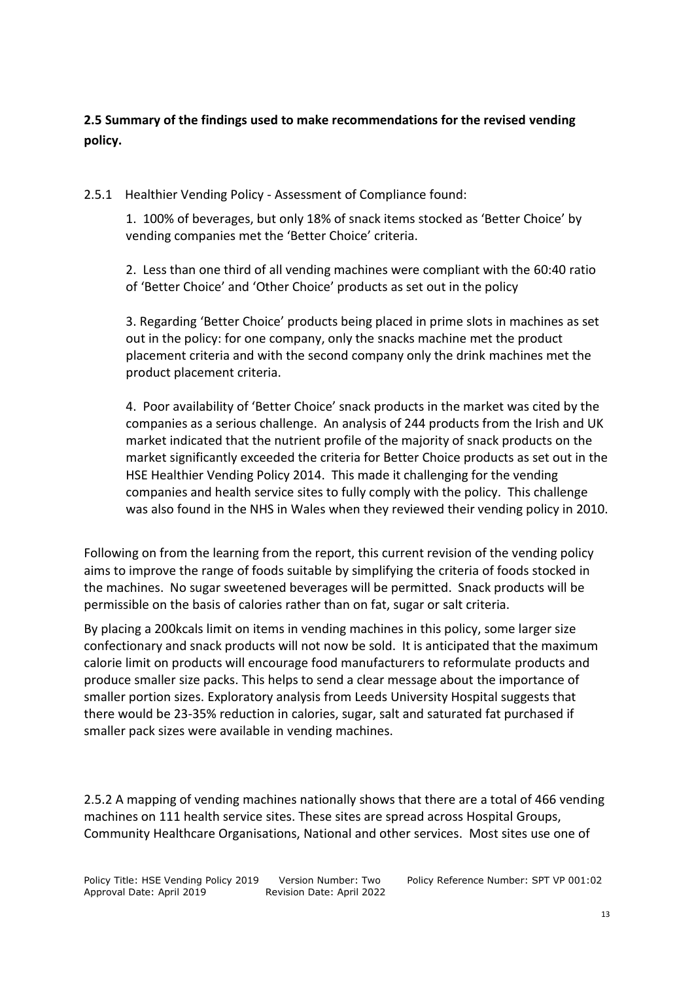**2.5 Summary of the findings used to make recommendations for the revised vending policy.**

2.5.1 Healthier Vending Policy - Assessment of Compliance found:

1. 100% of beverages, but only 18% of snack items stocked as 'Better Choice' by vending companies met the 'Better Choice' criteria.

2. Less than one third of all vending machines were compliant with the 60:40 ratio of 'Better Choice' and 'Other Choice' products as set out in the policy

3. Regarding 'Better Choice' products being placed in prime slots in machines as set out in the policy: for one company, only the snacks machine met the product placement criteria and with the second company only the drink machines met the product placement criteria.

4. Poor availability of 'Better Choice' snack products in the market was cited by the companies as a serious challenge. An analysis of 244 products from the Irish and UK market indicated that the nutrient profile of the majority of snack products on the market significantly exceeded the criteria for Better Choice products as set out in the HSE Healthier Vending Policy 2014. This made it challenging for the vending companies and health service sites to fully comply with the policy. This challenge was also found in the NHS in Wales when they reviewed their vending policy in 2010.

Following on from the learning from the report, this current revision of the vending policy aims to improve the range of foods suitable by simplifying the criteria of foods stocked in the machines. No sugar sweetened beverages will be permitted. Snack products will be permissible on the basis of calories rather than on fat, sugar or salt criteria.

By placing a 200kcals limit on items in vending machines in this policy, some larger size confectionary and snack products will not now be sold. It is anticipated that the maximum calorie limit on products will encourage food manufacturers to reformulate products and produce smaller size packs. This helps to send a clear message about the importance of smaller portion sizes. Exploratory analysis from Leeds University Hospital suggests that there would be 23-35% reduction in calories, sugar, salt and saturated fat purchased if smaller pack sizes were available in vending machines.

2.5.2 A mapping of vending machines nationally shows that there are a total of 466 vending machines on 111 health service sites. These sites are spread across Hospital Groups, Community Healthcare Organisations, National and other services. Most sites use one of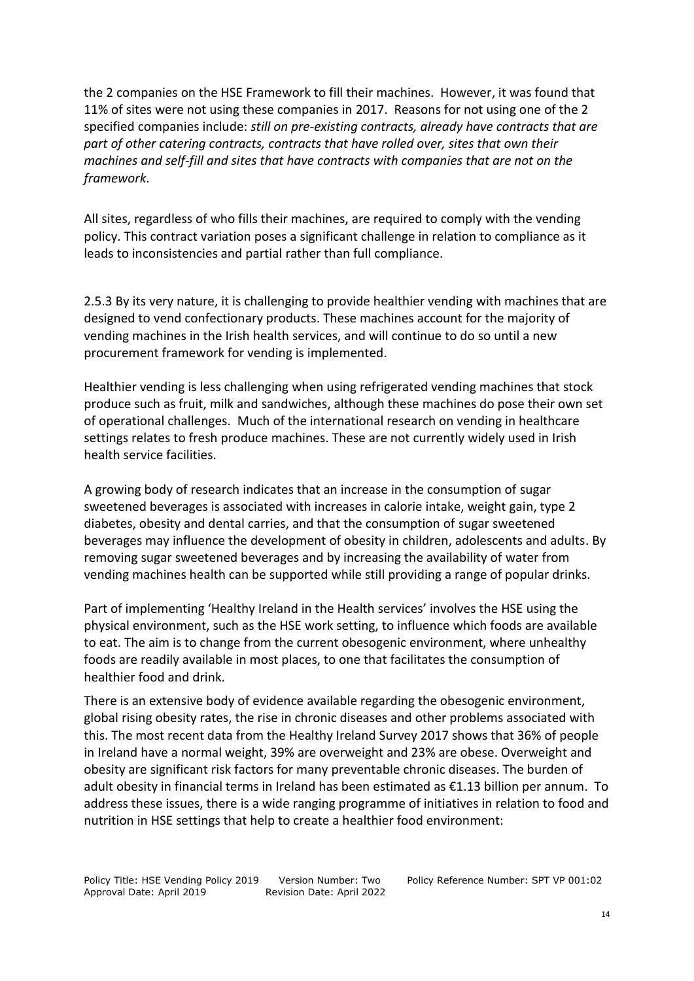the 2 companies on the HSE Framework to fill their machines. However, it was found that 11% of sites were not using these companies in 2017. Reasons for not using one of the 2 specified companies include: *still on pre-existing contracts, already have contracts that are part of other catering contracts, contracts that have rolled over, sites that own their machines and self-fill and sites that have contracts with companies that are not on the framework*.

All sites, regardless of who fills their machines, are required to comply with the vending policy. This contract variation poses a significant challenge in relation to compliance as it leads to inconsistencies and partial rather than full compliance.

2.5.3 By its very nature, it is challenging to provide healthier vending with machines that are designed to vend confectionary products. These machines account for the majority of vending machines in the Irish health services, and will continue to do so until a new procurement framework for vending is implemented.

Healthier vending is less challenging when using refrigerated vending machines that stock produce such as fruit, milk and sandwiches, although these machines do pose their own set of operational challenges. Much of the international research on vending in healthcare settings relates to fresh produce machines. These are not currently widely used in Irish health service facilities.

A growing body of research indicates that an increase in the consumption of sugar sweetened beverages is associated with increases in calorie intake, weight gain, type 2 diabetes, obesity and dental carries, and that the consumption of sugar sweetened beverages may influence the development of obesity in children, adolescents and adults. By removing sugar sweetened beverages and by increasing the availability of water from vending machines health can be supported while still providing a range of popular drinks.

Part of implementing 'Healthy Ireland in the Health services' involves the HSE using the physical environment, such as the HSE work setting, to influence which foods are available to eat. The aim is to change from the current obesogenic environment, where unhealthy foods are readily available in most places, to one that facilitates the consumption of healthier food and drink.

There is an extensive body of evidence available regarding the obesogenic environment, global rising obesity rates, the rise in chronic diseases and other problems associated with this. The most recent data from the Healthy Ireland Survey 2017 shows that 36% of people in Ireland have a normal weight, 39% are overweight and 23% are obese. Overweight and obesity are significant risk factors for many preventable chronic diseases. The burden of adult obesity in financial terms in Ireland has been estimated as €1.13 billion per annum. To address these issues, there is a wide ranging programme of initiatives in relation to food and nutrition in HSE settings that help to create a healthier food environment: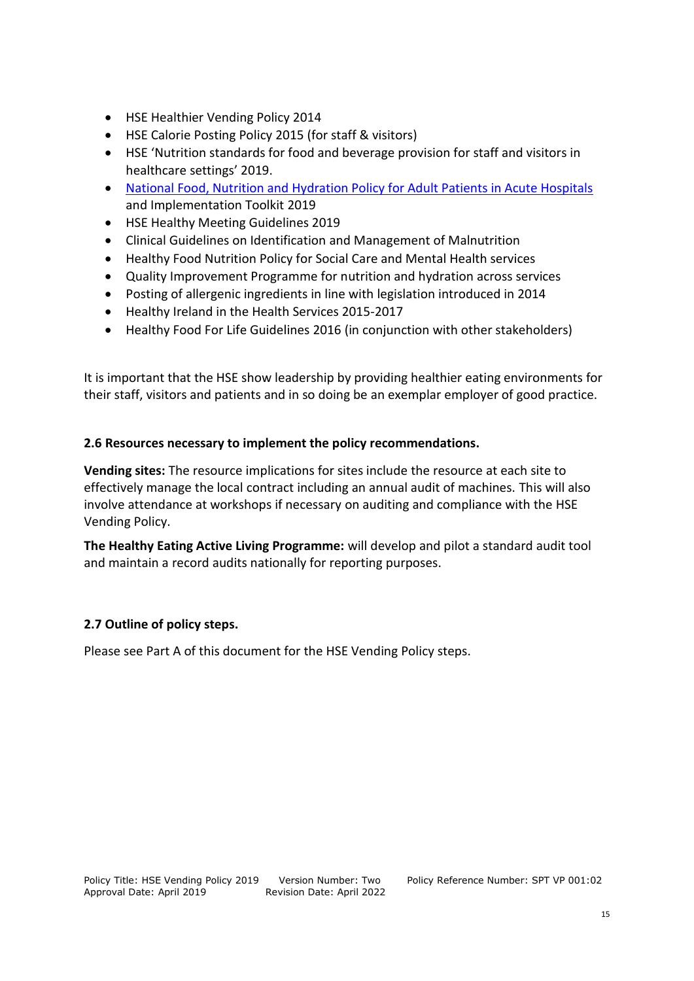- HSE Healthier Vending Policy 2014
- HSE Calorie Posting Policy 2015 (for staff & visitors)
- HSE 'Nutrition standards for food and beverage provision for staff and visitors in healthcare settings' 2019.
- [National Food, Nutrition and Hydration Policy for Adult Patients in Acute Hospitals](https://www.hse.ie/eng/services/publications/hospitals/food-nutrition-and-hydration-policy-for-adult-patients-in-acute-hospital.pdf) and Implementation Toolkit 2019
- HSE Healthy Meeting Guidelines 2019
- Clinical Guidelines on Identification and Management of Malnutrition
- Healthy Food Nutrition Policy for Social Care and Mental Health services
- Quality Improvement Programme for nutrition and hydration across services
- Posting of allergenic ingredients in line with legislation introduced in 2014
- Healthy Ireland in the Health Services 2015-2017
- Healthy Food For Life Guidelines 2016 (in conjunction with other stakeholders)

It is important that the HSE show leadership by providing healthier eating environments for their staff, visitors and patients and in so doing be an exemplar employer of good practice.

# **2.6 Resources necessary to implement the policy recommendations.**

**Vending sites:** The resource implications for sites include the resource at each site to effectively manage the local contract including an annual audit of machines. This will also involve attendance at workshops if necessary on auditing and compliance with the HSE Vending Policy.

**The Healthy Eating Active Living Programme:** will develop and pilot a standard audit tool and maintain a record audits nationally for reporting purposes.

# **2.7 Outline of policy steps.**

Please see Part A of this document for the HSE Vending Policy steps.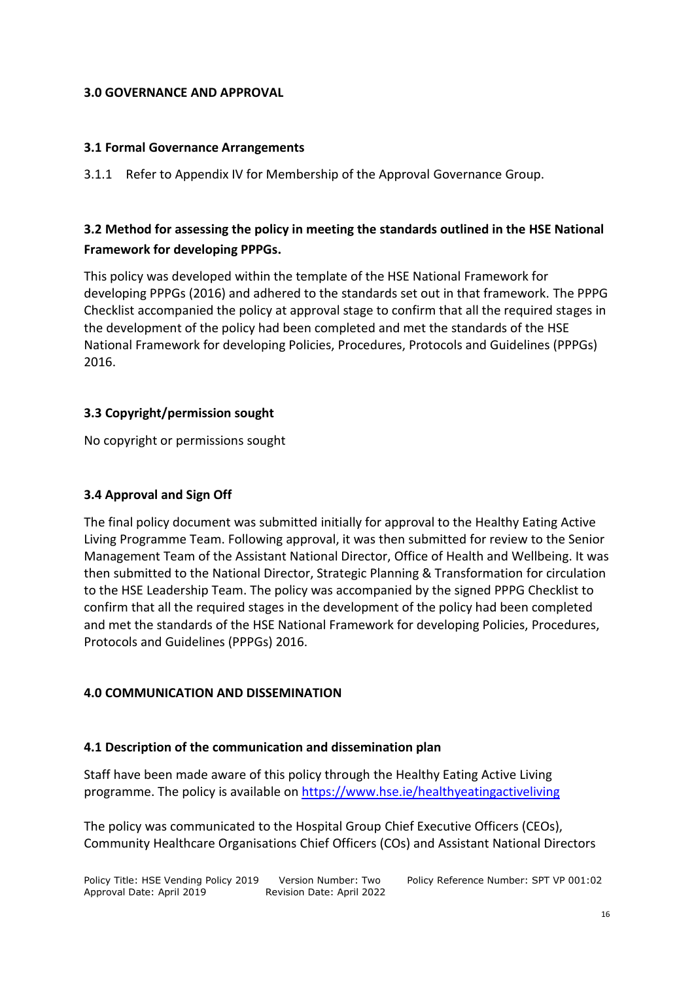#### **3.0 GOVERNANCE AND APPROVAL**

#### **3.1 Formal Governance Arrangements**

3.1.1 Refer to Appendix IV for Membership of the Approval Governance Group.

# **3.2 Method for assessing the policy in meeting the standards outlined in the HSE National Framework for developing PPPGs.**

This policy was developed within the template of the HSE National Framework for developing PPPGs (2016) and adhered to the standards set out in that framework. The PPPG Checklist accompanied the policy at approval stage to confirm that all the required stages in the development of the policy had been completed and met the standards of the HSE National Framework for developing Policies, Procedures, Protocols and Guidelines (PPPGs) 2016.

# **3.3 Copyright/permission sought**

No copyright or permissions sought

#### **3.4 Approval and Sign Off**

The final policy document was submitted initially for approval to the Healthy Eating Active Living Programme Team. Following approval, it was then submitted for review to the Senior Management Team of the Assistant National Director, Office of Health and Wellbeing. It was then submitted to the National Director, Strategic Planning & Transformation for circulation to the HSE Leadership Team. The policy was accompanied by the signed PPPG Checklist to confirm that all the required stages in the development of the policy had been completed and met the standards of the HSE National Framework for developing Policies, Procedures, Protocols and Guidelines (PPPGs) 2016.

# **4.0 COMMUNICATION AND DISSEMINATION**

#### **4.1 Description of the communication and dissemination plan**

Staff have been made aware of this policy through the Healthy Eating Active Living programme. The policy is available on<https://www.hse.ie/healthyeatingactiveliving>

The policy was communicated to the Hospital Group Chief Executive Officers (CEOs), Community Healthcare Organisations Chief Officers (COs) and Assistant National Directors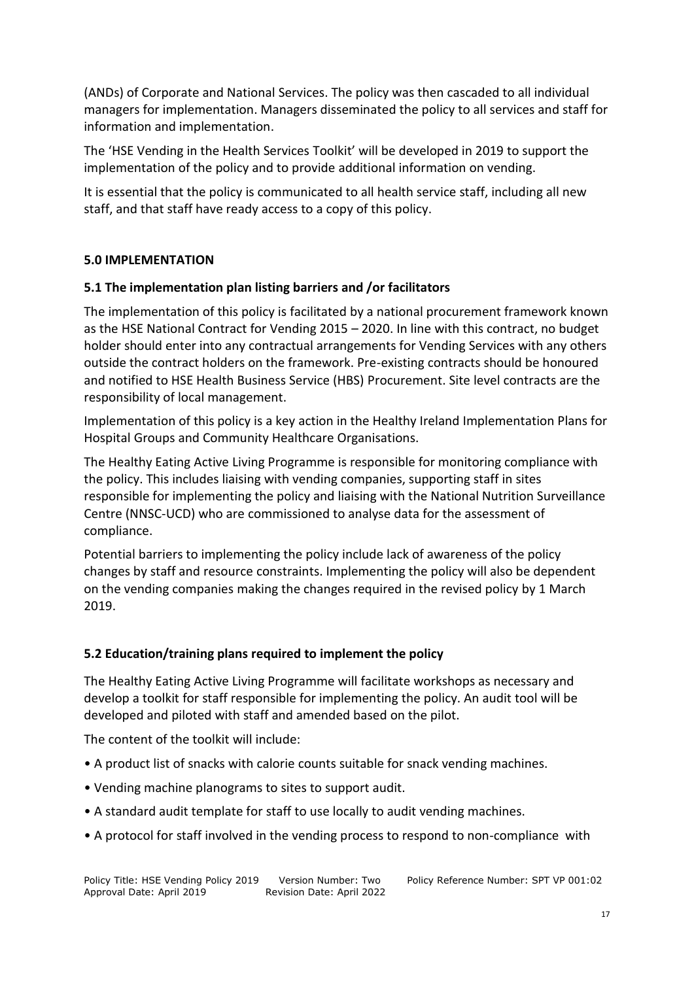(ANDs) of Corporate and National Services. The policy was then cascaded to all individual managers for implementation. Managers disseminated the policy to all services and staff for information and implementation.

The 'HSE Vending in the Health Services Toolkit' will be developed in 2019 to support the implementation of the policy and to provide additional information on vending.

It is essential that the policy is communicated to all health service staff, including all new staff, and that staff have ready access to a copy of this policy.

# **5.0 IMPLEMENTATION**

# **5.1 The implementation plan listing barriers and /or facilitators**

The implementation of this policy is facilitated by a national procurement framework known as the HSE National Contract for Vending 2015 – 2020. In line with this contract, no budget holder should enter into any contractual arrangements for Vending Services with any others outside the contract holders on the framework. Pre-existing contracts should be honoured and notified to HSE Health Business Service (HBS) Procurement. Site level contracts are the responsibility of local management.

Implementation of this policy is a key action in the Healthy Ireland Implementation Plans for Hospital Groups and Community Healthcare Organisations.

The Healthy Eating Active Living Programme is responsible for monitoring compliance with the policy. This includes liaising with vending companies, supporting staff in sites responsible for implementing the policy and liaising with the National Nutrition Surveillance Centre (NNSC-UCD) who are commissioned to analyse data for the assessment of compliance.

Potential barriers to implementing the policy include lack of awareness of the policy changes by staff and resource constraints. Implementing the policy will also be dependent on the vending companies making the changes required in the revised policy by 1 March 2019.

# **5.2 Education/training plans required to implement the policy**

The Healthy Eating Active Living Programme will facilitate workshops as necessary and develop a toolkit for staff responsible for implementing the policy. An audit tool will be developed and piloted with staff and amended based on the pilot.

The content of the toolkit will include:

- A product list of snacks with calorie counts suitable for snack vending machines.
- Vending machine planograms to sites to support audit.
- A standard audit template for staff to use locally to audit vending machines.
- A protocol for staff involved in the vending process to respond to non-compliance with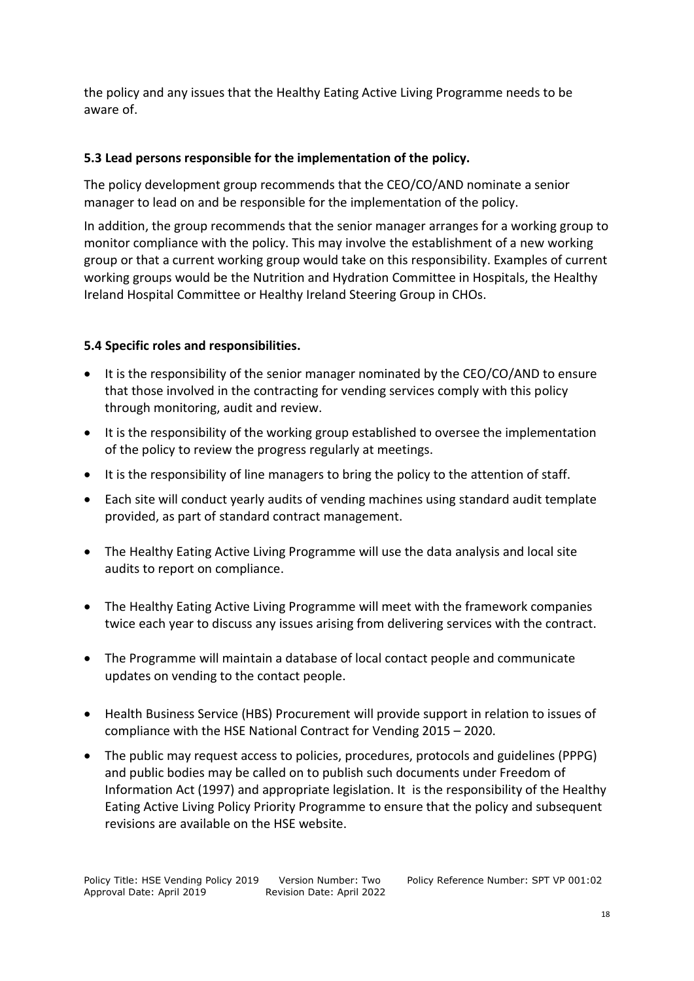the policy and any issues that the Healthy Eating Active Living Programme needs to be aware of.

#### **5.3 Lead persons responsible for the implementation of the policy.**

The policy development group recommends that the CEO/CO/AND nominate a senior manager to lead on and be responsible for the implementation of the policy.

In addition, the group recommends that the senior manager arranges for a working group to monitor compliance with the policy. This may involve the establishment of a new working group or that a current working group would take on this responsibility. Examples of current working groups would be the Nutrition and Hydration Committee in Hospitals, the Healthy Ireland Hospital Committee or Healthy Ireland Steering Group in CHOs.

#### **5.4 Specific roles and responsibilities.**

- It is the responsibility of the senior manager nominated by the CEO/CO/AND to ensure that those involved in the contracting for vending services comply with this policy through monitoring, audit and review.
- It is the responsibility of the working group established to oversee the implementation of the policy to review the progress regularly at meetings.
- It is the responsibility of line managers to bring the policy to the attention of staff.
- Each site will conduct yearly audits of vending machines using standard audit template provided, as part of standard contract management.
- The Healthy Eating Active Living Programme will use the data analysis and local site audits to report on compliance.
- The Healthy Eating Active Living Programme will meet with the framework companies twice each year to discuss any issues arising from delivering services with the contract.
- The Programme will maintain a database of local contact people and communicate updates on vending to the contact people.
- Health Business Service (HBS) Procurement will provide support in relation to issues of compliance with the HSE National Contract for Vending 2015 – 2020.
- The public may request access to policies, procedures, protocols and guidelines (PPPG) and public bodies may be called on to publish such documents under Freedom of Information Act (1997) and appropriate legislation. It is the responsibility of the Healthy Eating Active Living Policy Priority Programme to ensure that the policy and subsequent revisions are available on the HSE website.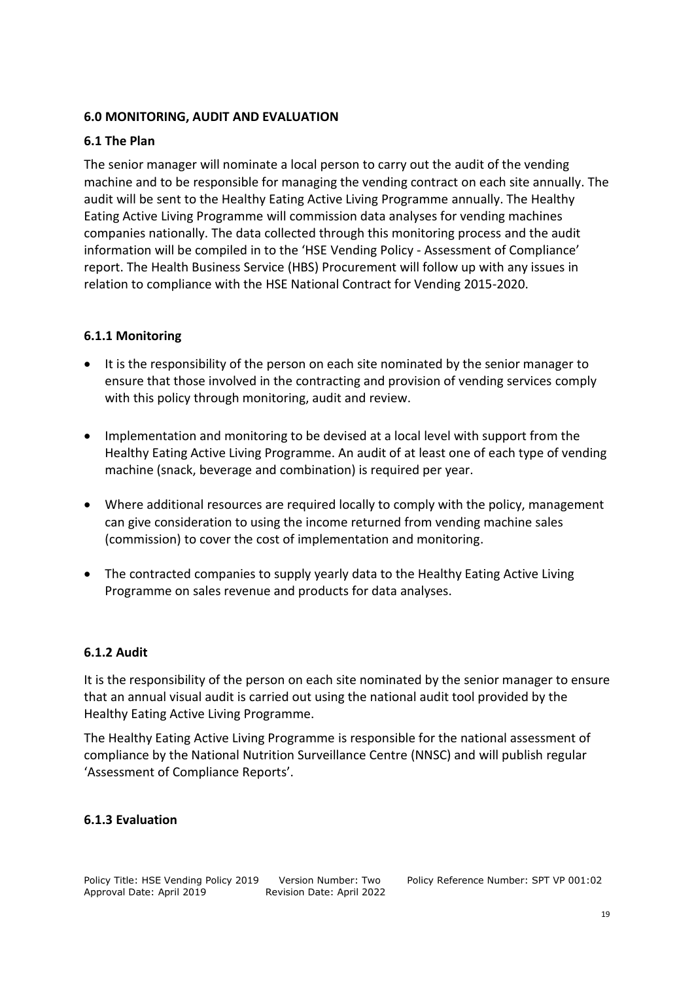#### **6.0 MONITORING, AUDIT AND EVALUATION**

#### **6.1 The Plan**

The senior manager will nominate a local person to carry out the audit of the vending machine and to be responsible for managing the vending contract on each site annually. The audit will be sent to the Healthy Eating Active Living Programme annually. The Healthy Eating Active Living Programme will commission data analyses for vending machines companies nationally. The data collected through this monitoring process and the audit information will be compiled in to the 'HSE Vending Policy - Assessment of Compliance' report. The Health Business Service (HBS) Procurement will follow up with any issues in relation to compliance with the HSE National Contract for Vending 2015-2020.

# **6.1.1 Monitoring**

- It is the responsibility of the person on each site nominated by the senior manager to ensure that those involved in the contracting and provision of vending services comply with this policy through monitoring, audit and review.
- Implementation and monitoring to be devised at a local level with support from the Healthy Eating Active Living Programme. An audit of at least one of each type of vending machine (snack, beverage and combination) is required per year.
- Where additional resources are required locally to comply with the policy, management can give consideration to using the income returned from vending machine sales (commission) to cover the cost of implementation and monitoring.
- The contracted companies to supply yearly data to the Healthy Eating Active Living Programme on sales revenue and products for data analyses.

#### **6.1.2 Audit**

It is the responsibility of the person on each site nominated by the senior manager to ensure that an annual visual audit is carried out using the national audit tool provided by the Healthy Eating Active Living Programme.

The Healthy Eating Active Living Programme is responsible for the national assessment of compliance by the National Nutrition Surveillance Centre (NNSC) and will publish regular 'Assessment of Compliance Reports'.

#### **6.1.3 Evaluation**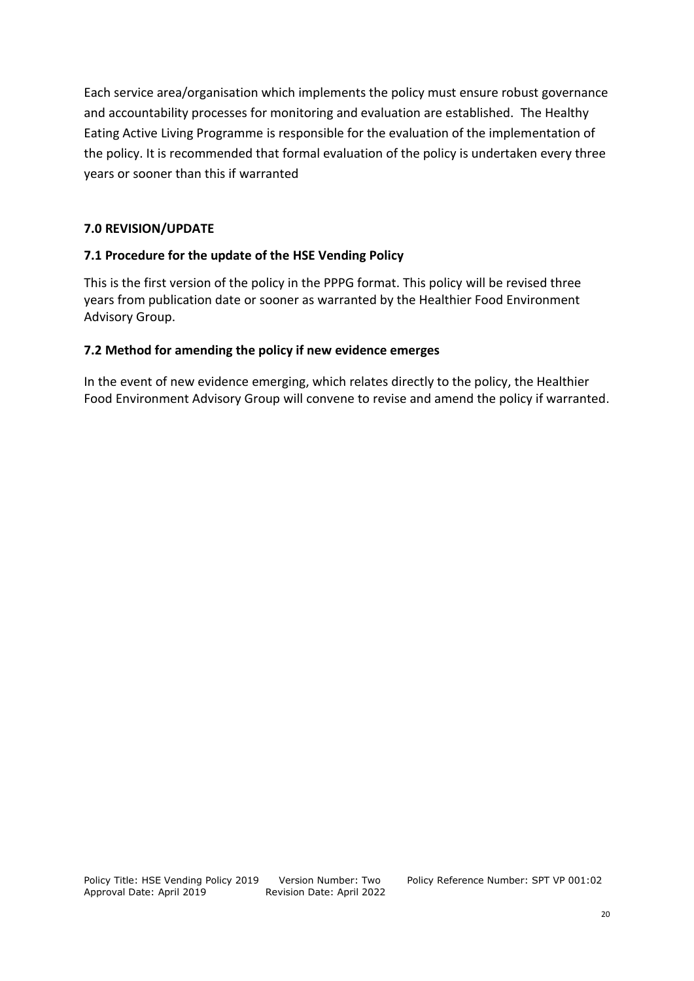Each service area/organisation which implements the policy must ensure robust governance and accountability processes for monitoring and evaluation are established. The Healthy Eating Active Living Programme is responsible for the evaluation of the implementation of the policy. It is recommended that formal evaluation of the policy is undertaken every three years or sooner than this if warranted

# **7.0 REVISION/UPDATE**

# **7.1 Procedure for the update of the HSE Vending Policy**

This is the first version of the policy in the PPPG format. This policy will be revised three years from publication date or sooner as warranted by the Healthier Food Environment Advisory Group.

# **7.2 Method for amending the policy if new evidence emerges**

In the event of new evidence emerging, which relates directly to the policy, the Healthier Food Environment Advisory Group will convene to revise and amend the policy if warranted.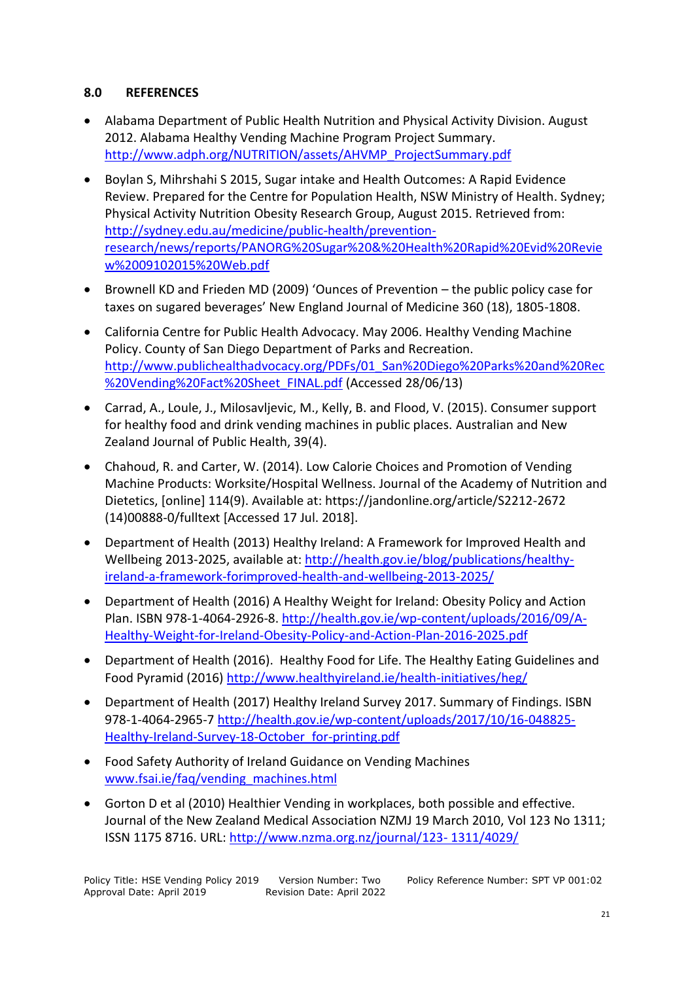#### **8.0 REFERENCES**

- Alabama Department of Public Health Nutrition and Physical Activity Division. August 2012. Alabama Healthy Vending Machine Program Project Summary. [http://www.adph.org/NUTRITION/assets/AHVMP\\_ProjectSummary.pdf](http://www.adph.org/NUTRITION/assets/AHVMP_ProjectSummary.pdf)
- Boylan S, Mihrshahi S 2015, Sugar intake and Health Outcomes: A Rapid Evidence Review. Prepared for the Centre for Population Health, NSW Ministry of Health. Sydney; Physical Activity Nutrition Obesity Research Group, August 2015. Retrieved from: [http://sydney.edu.au/medicine/public-health/prevention](http://sydney.edu.au/medicine/public-health/prevention-research/news/reports/PANORG%20Sugar%20&%20Health%20Rapid%20Evid%20Review%2009102015%20Web.pdf)[research/news/reports/PANORG%20Sugar%20&%20Health%20Rapid%20Evid%20Revie](http://sydney.edu.au/medicine/public-health/prevention-research/news/reports/PANORG%20Sugar%20&%20Health%20Rapid%20Evid%20Review%2009102015%20Web.pdf) [w%2009102015%20Web.pdf](http://sydney.edu.au/medicine/public-health/prevention-research/news/reports/PANORG%20Sugar%20&%20Health%20Rapid%20Evid%20Review%2009102015%20Web.pdf)
- Brownell KD and Frieden MD (2009) 'Ounces of Prevention the public policy case for taxes on sugared beverages' New England Journal of Medicine 360 (18), 1805-1808.
- California Centre for Public Health Advocacy. May 2006. Healthy Vending Machine Policy. County of San Diego Department of Parks and Recreation. [http://www.publichealthadvocacy.org/PDFs/01\\_San%20Diego%20Parks%20and%20Rec](http://www.publichealthadvocacy.org/PDFs/01_San%20Diego%20Parks%20and%20Rec%20Vending%20Fact%20Sheet_FINAL.pdf) [%20Vending%20Fact%20Sheet\\_FINAL.pdf](http://www.publichealthadvocacy.org/PDFs/01_San%20Diego%20Parks%20and%20Rec%20Vending%20Fact%20Sheet_FINAL.pdf) (Accessed 28/06/13)
- Carrad, A., Loule, J., Milosavljevic, M., Kelly, B. and Flood, V. (2015). Consumer support for healthy food and drink vending machines in public places. Australian and New Zealand Journal of Public Health, 39(4).
- Chahoud, R. and Carter, W. (2014). Low Calorie Choices and Promotion of Vending Machine Products: Worksite/Hospital Wellness. Journal of the Academy of Nutrition and Dietetics, [online] 114(9). Available at: https://jandonline.org/article/S2212-2672 (14)00888-0/fulltext [Accessed 17 Jul. 2018].
- Department of Health (2013) Healthy Ireland: A Framework for Improved Health and Wellbeing 2013-2025, available at: [http://health.gov.ie/blog/publications/healthy](http://health.gov.ie/blog/publications/healthy-ireland-a-framework-forimproved-health-and-wellbeing-2013-2025/)[ireland-a-framework-forimproved-health-and-wellbeing-2013-2025/](http://health.gov.ie/blog/publications/healthy-ireland-a-framework-forimproved-health-and-wellbeing-2013-2025/)
- Department of Health (2016) A Healthy Weight for Ireland: Obesity Policy and Action Plan. ISBN 978-1-4064-2926-8. [http://health.gov.ie/wp-content/uploads/2016/09/A-](http://health.gov.ie/wp-content/uploads/2016/09/A-Healthy-Weight-for-Ireland-Obesity-Policy-and-Action-Plan-2016-2025.pdf)[Healthy-Weight-for-Ireland-Obesity-Policy-and-Action-Plan-2016-2025.pdf](http://health.gov.ie/wp-content/uploads/2016/09/A-Healthy-Weight-for-Ireland-Obesity-Policy-and-Action-Plan-2016-2025.pdf)
- Department of Health (2016). Healthy Food for Life. The Healthy Eating Guidelines and Food Pyramid (2016)<http://www.healthyireland.ie/health-initiatives/heg/>
- Department of Health (2017) Healthy Ireland Survey 2017. Summary of Findings. ISBN 978-1-4064-2965-7 [http://health.gov.ie/wp-content/uploads/2017/10/16-048825-](http://health.gov.ie/wp-content/uploads/2017/10/16-048825-Healthy-Ireland-Survey-18-October_for-printing.pdf) [Healthy-Ireland-Survey-18-October\\_for-printing.pdf](http://health.gov.ie/wp-content/uploads/2017/10/16-048825-Healthy-Ireland-Survey-18-October_for-printing.pdf)
- Food Safety Authority of Ireland Guidance on Vending Machines [www.fsai.ie/faq/vending\\_machines.html](http://www.fsai.ie/faq/vending_machines.html)
- Gorton D et al (2010) Healthier Vending in workplaces, both possible and effective. Journal of the New Zealand Medical Association NZMJ 19 March 2010, Vol 123 No 1311; ISSN 1175 8716. URL: [http://www.nzma.org.nz/journal/123-](http://www.nzma.org.nz/journal/123-%201311/4029/) 1311/4029/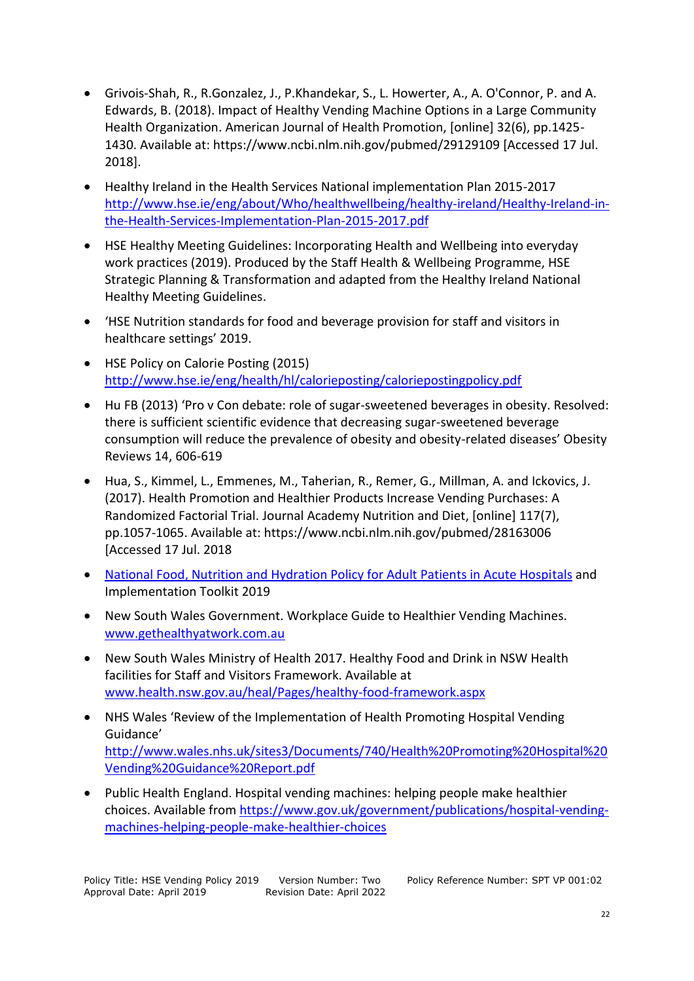- Grivois-Shah, R., R.Gonzalez, J., P.Khandekar, S., L. Howerter, A., A. O'Connor, P. and A. Edwards, B. (2018). Impact of Healthy Vending Machine Options in a Large Community Health Organization. American Journal of Health Promotion, [online] 32(6), pp.1425- 1430. Available at: https://www.ncbi.nlm.nih.gov/pubmed/29129109 [Accessed 17 Jul. 2018].
- Healthy Ireland in the Health Services National implementation Plan 2015-2017 [http://www.hse.ie/eng/about/Who/healthwellbeing/healthy-ireland/Healthy-Ireland-in](http://www.hse.ie/eng/about/Who/healthwellbeing/healthy-ireland/Healthy-Ireland-in-the-Health-Services-Implementation-Plan-2015-2017.pdf)[the-Health-Services-Implementation-Plan-2015-2017.pdf](http://www.hse.ie/eng/about/Who/healthwellbeing/healthy-ireland/Healthy-Ireland-in-the-Health-Services-Implementation-Plan-2015-2017.pdf)
- HSE Healthy Meeting Guidelines: Incorporating Health and Wellbeing into everyday work practices (2019). Produced by the Staff Health & Wellbeing Programme, HSE Strategic Planning & Transformation and adapted from the Healthy Ireland National Healthy Meeting Guidelines.
- 'HSE Nutrition standards for food and beverage provision for staff and visitors in healthcare settings' 2019.
- HSE Policy on Calorie Posting (2015) <http://www.hse.ie/eng/health/hl/calorieposting/caloriepostingpolicy.pdf>
- Hu FB (2013) 'Pro v Con debate: role of sugar-sweetened beverages in obesity. Resolved: there is sufficient scientific evidence that decreasing sugar-sweetened beverage consumption will reduce the prevalence of obesity and obesity-related diseases' Obesity Reviews 14, 606-619
- Hua, S., Kimmel, L., Emmenes, M., Taherian, R., Remer, G., Millman, A. and Ickovics, J. (2017). Health Promotion and Healthier Products Increase Vending Purchases: A Randomized Factorial Trial. Journal Academy Nutrition and Diet, [online] 117(7), pp.1057-1065. Available at: https://www.ncbi.nlm.nih.gov/pubmed/28163006 [Accessed 17 Jul. 2018
- [National Food, Nutrition and Hydration Policy for Adult Patients in Acute Hospitals](https://www.hse.ie/eng/services/publications/hospitals/food-nutrition-and-hydration-policy-for-adult-patients-in-acute-hospital.pdf) and Implementation Toolkit 2019
- New South Wales Government. Workplace Guide to Healthier Vending Machines. [www.gethealthyatwork.com.au](http://www.gethealthyatwork.com.au/)
- New South Wales Ministry of Health 2017. Healthy Food and Drink in NSW Health facilities for Staff and Visitors Framework. Available at [www.health.nsw.gov.au/heal/Pages/healthy-food-framework.aspx](http://www.health.nsw.gov.au/heal/Pages/healthy-food-framework.aspx)
- NHS Wales 'Review of the Implementation of Health Promoting Hospital Vending Guidance' [http://www.wales.nhs.uk/sites3/Documents/740/Health%20Promoting%20Hospital%20](http://www.wales.nhs.uk/sites3/Documents/740/Health%20Promoting%20Hospital%20Vending%20Guidance%20Report.pdf) [Vending%20Guidance%20Report.pdf](http://www.wales.nhs.uk/sites3/Documents/740/Health%20Promoting%20Hospital%20Vending%20Guidance%20Report.pdf)
- Public Health England. Hospital vending machines: helping people make healthier choices. Available from [https://www.gov.uk/government/publications/hospital-vending](https://www.gov.uk/government/publications/hospital-vending-machines-helping-people-make-healthier-choices)[machines-helping-people-make-healthier-choices](https://www.gov.uk/government/publications/hospital-vending-machines-helping-people-make-healthier-choices)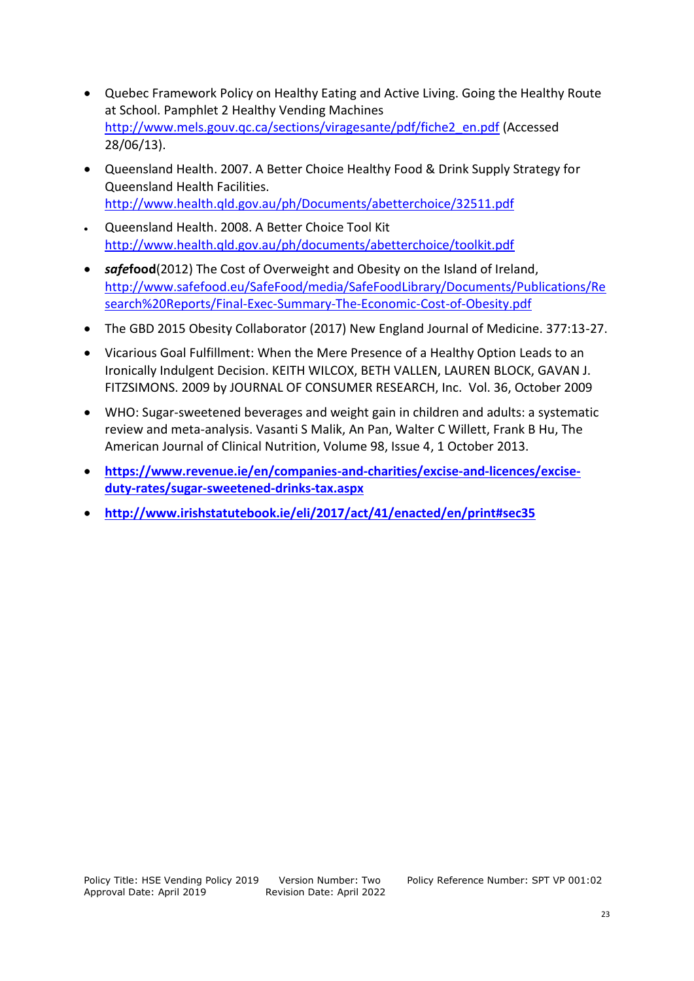- Quebec Framework Policy on Healthy Eating and Active Living. Going the Healthy Route at School. Pamphlet 2 Healthy Vending Machines [http://www.mels.gouv.qc.ca/sections/viragesante/pdf/fiche2\\_en.pdf](http://www.mels.gouv.qc.ca/sections/viragesante/pdf/fiche2_en.pdf) (Accessed 28/06/13).
- Queensland Health. 2007. A Better Choice Healthy Food & Drink Supply Strategy for Queensland Health Facilities. <http://www.health.qld.gov.au/ph/Documents/abetterchoice/32511.pdf>
- Queensland Health. 2008. A Better Choice Tool Kit <http://www.health.qld.gov.au/ph/documents/abetterchoice/toolkit.pdf>
- *safe***food**(2012) The Cost of Overweight and Obesity on the Island of Ireland, [http://www.safefood.eu/SafeFood/media/SafeFoodLibrary/Documents/Publications/Re](http://www.safefood.eu/SafeFood/media/SafeFoodLibrary/Documents/Publications/Research%20Reports/Final-Exec-Summary-The-Economic-Cost-of-Obesity.pdf) [search%20Reports/Final-Exec-Summary-The-Economic-Cost-of-Obesity.pdf](http://www.safefood.eu/SafeFood/media/SafeFoodLibrary/Documents/Publications/Research%20Reports/Final-Exec-Summary-The-Economic-Cost-of-Obesity.pdf)
- The GBD 2015 Obesity Collaborator (2017) New England Journal of Medicine. 377:13-27.
- Vicarious Goal Fulfillment: When the Mere Presence of a Healthy Option Leads to an Ironically Indulgent Decision. KEITH WILCOX, BETH VALLEN, LAUREN BLOCK, GAVAN J. FITZSIMONS. 2009 by JOURNAL OF CONSUMER RESEARCH, Inc. Vol. 36, October 2009
- WHO: Sugar-sweetened beverages and weight gain in children and adults: a systematic review and meta-analysis. Vasanti S Malik, [An Pan,](javascript:;) Walter C Willett, [Frank B Hu,](javascript:;) The American Journal of Clinical Nutrition, Volume 98, Issue 4, 1 October 2013.
- **[https://www.revenue.ie/en/companies-and-charities/excise-and-licences/excise](https://www.revenue.ie/en/companies-and-charities/excise-and-licences/excise-duty-rates/sugar-sweetened-drinks-tax.aspx)[duty-rates/sugar-sweetened-drinks-tax.aspx](https://www.revenue.ie/en/companies-and-charities/excise-and-licences/excise-duty-rates/sugar-sweetened-drinks-tax.aspx)**
- **<http://www.irishstatutebook.ie/eli/2017/act/41/enacted/en/print#sec35>**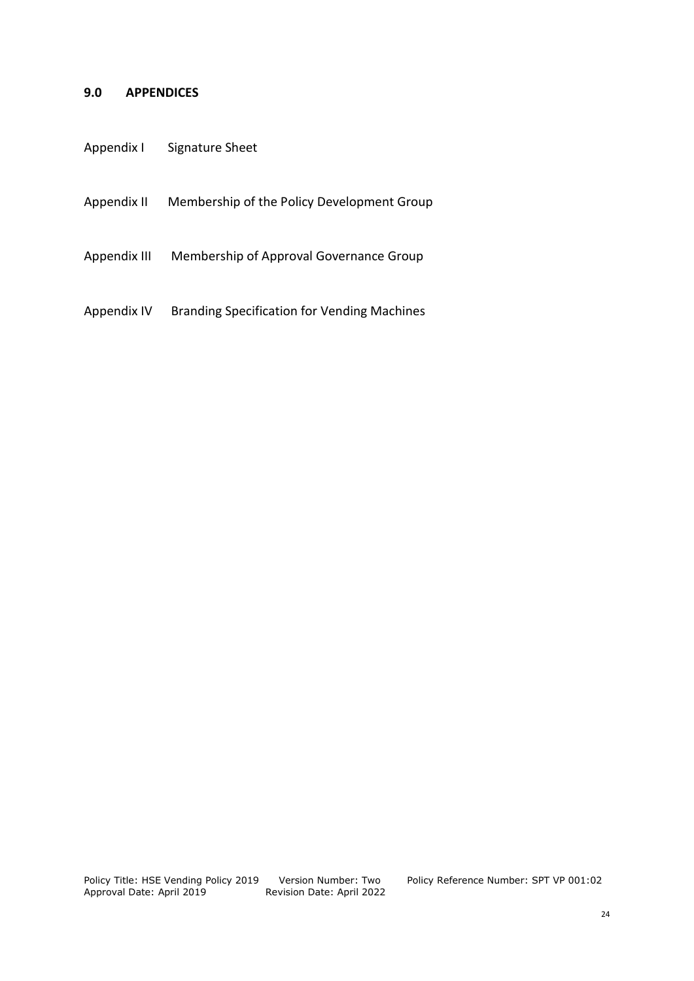#### **9.0 APPENDICES**

| Appendix I | <b>Signature Sheet</b> |
|------------|------------------------|
|------------|------------------------|

Appendix II Membership of the Policy Development Group

Appendix III Membership of Approval Governance Group

Appendix IV Branding Specification for Vending Machines

Policy Title: HSE Vending Policy 2019<br>Approval Date: April 2019

Version Number: Two Policy Reference Number: SPT VP 001:02<br>Revision Date: April 2022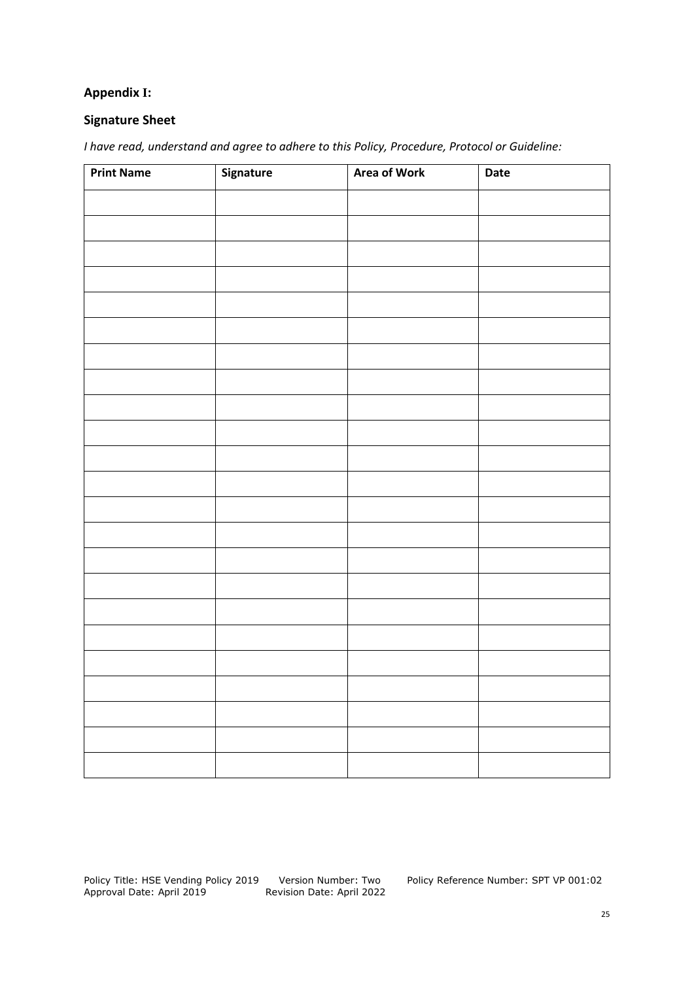# **Appendix I:**

#### **Signature Sheet**

*I have read, understand and agree to adhere to this Policy, Procedure, Protocol or Guideline:*

| <b>Print Name</b> | Signature | <b>Area of Work</b> | Date |
|-------------------|-----------|---------------------|------|
|                   |           |                     |      |
|                   |           |                     |      |
|                   |           |                     |      |
|                   |           |                     |      |
|                   |           |                     |      |
|                   |           |                     |      |
|                   |           |                     |      |
|                   |           |                     |      |
|                   |           |                     |      |
|                   |           |                     |      |
|                   |           |                     |      |
|                   |           |                     |      |
|                   |           |                     |      |
|                   |           |                     |      |
|                   |           |                     |      |
|                   |           |                     |      |
|                   |           |                     |      |
|                   |           |                     |      |
|                   |           |                     |      |
|                   |           |                     |      |
|                   |           |                     |      |
|                   |           |                     |      |
|                   |           |                     |      |

Version Number: Two Policy Reference Number: SPT VP 001:02<br>Revision Date: April 2022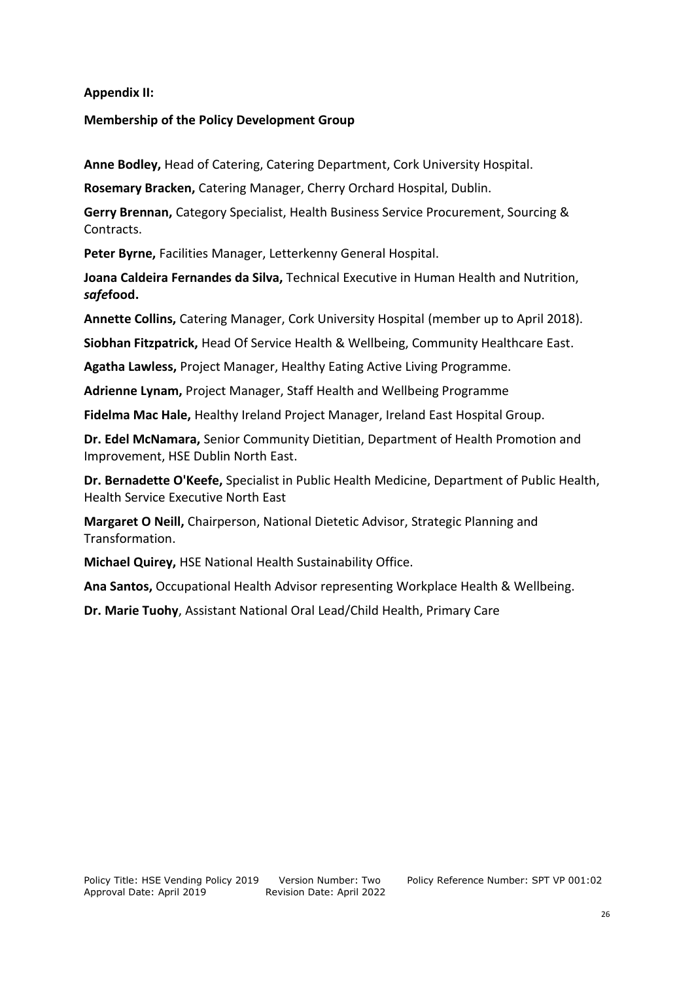#### **Appendix II:**

#### **Membership of the Policy Development Group**

**Anne Bodley,** Head of Catering, Catering Department, Cork University Hospital.

**Rosemary Bracken,** Catering Manager, Cherry Orchard Hospital, Dublin.

**Gerry Brennan,** Category Specialist, Health Business Service Procurement, Sourcing & Contracts.

**Peter Byrne,** Facilities Manager, Letterkenny General Hospital.

**Joana Caldeira Fernandes da Silva,** Technical Executive in Human Health and Nutrition, *safe***food.**

**Annette Collins,** Catering Manager, Cork University Hospital (member up to April 2018).

**Siobhan Fitzpatrick,** Head Of Service Health & Wellbeing, Community Healthcare East.

**Agatha Lawless,** Project Manager, Healthy Eating Active Living Programme.

**Adrienne Lynam,** Project Manager, Staff Health and Wellbeing Programme

**Fidelma Mac Hale,** Healthy Ireland Project Manager, Ireland East Hospital Group.

**Dr. Edel McNamara,** Senior Community Dietitian, Department of Health Promotion and Improvement, HSE Dublin North East.

**Dr. Bernadette O'Keefe,** Specialist in Public Health Medicine, Department of Public Health, Health Service Executive North East

**Margaret O Neill,** Chairperson, National Dietetic Advisor, Strategic Planning and Transformation.

**Michael Quirey,** HSE National Health Sustainability Office.

**Ana Santos,** Occupational Health Advisor representing Workplace Health & Wellbeing.

**Dr. Marie Tuohy**, Assistant National Oral Lead/Child Health, Primary Care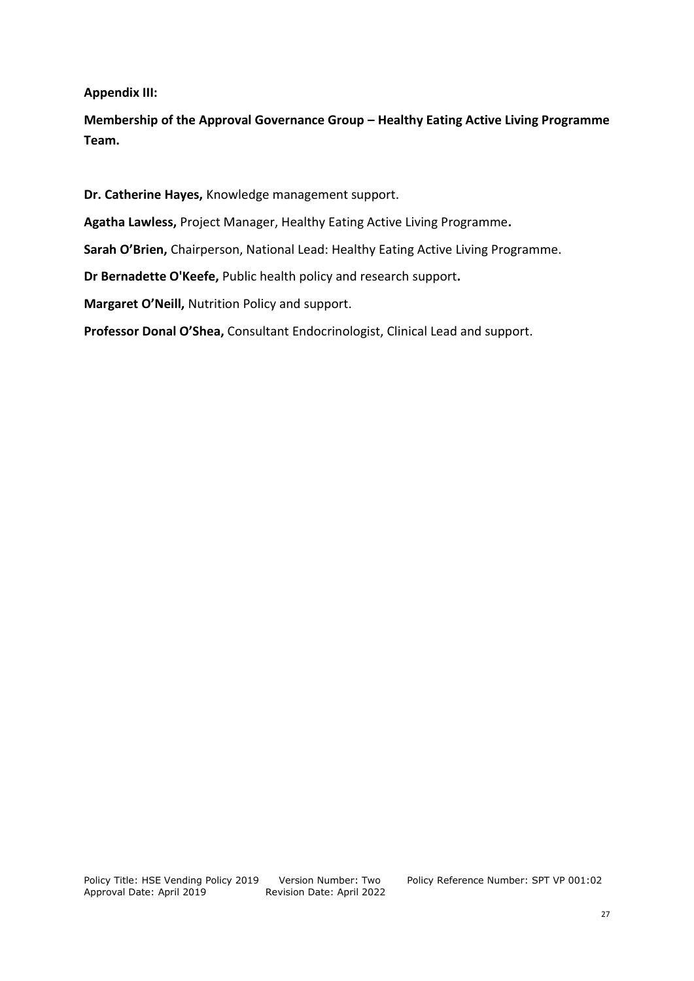**Appendix III:** 

**Membership of the Approval Governance Group – Healthy Eating Active Living Programme Team.**

**Dr. Catherine Hayes,** Knowledge management support.

**Agatha Lawless,** Project Manager, Healthy Eating Active Living Programme**.**

**Sarah O'Brien,** Chairperson, National Lead: Healthy Eating Active Living Programme.

**Dr Bernadette O'Keefe,** Public health policy and research support**.**

**Margaret O'Neill,** Nutrition Policy and support.

**Professor Donal O'Shea,** Consultant Endocrinologist, Clinical Lead and support.

Version Number: Two Policy Reference Number: SPT VP 001:02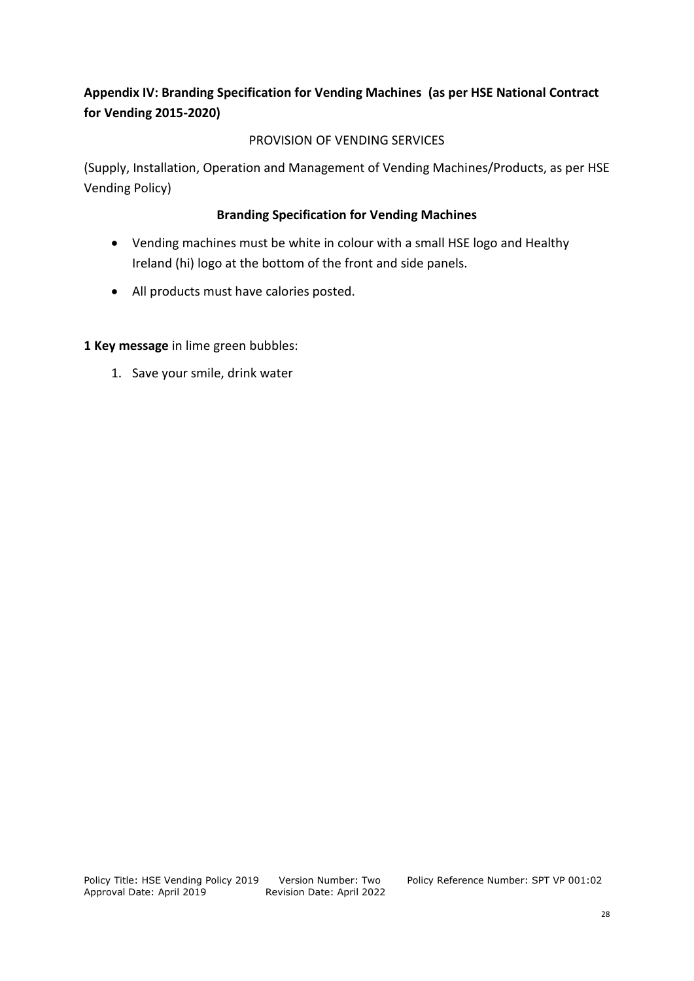# **Appendix IV: Branding Specification for Vending Machines (as per HSE National Contract for Vending 2015-2020)**

# PROVISION OF VENDING SERVICES

(Supply, Installation, Operation and Management of Vending Machines/Products, as per HSE Vending Policy)

# **Branding Specification for Vending Machines**

- Vending machines must be white in colour with a small HSE logo and Healthy Ireland (hi) logo at the bottom of the front and side panels.
- All products must have calories posted.

**1 Key message** in lime green bubbles:

1. Save your smile, drink water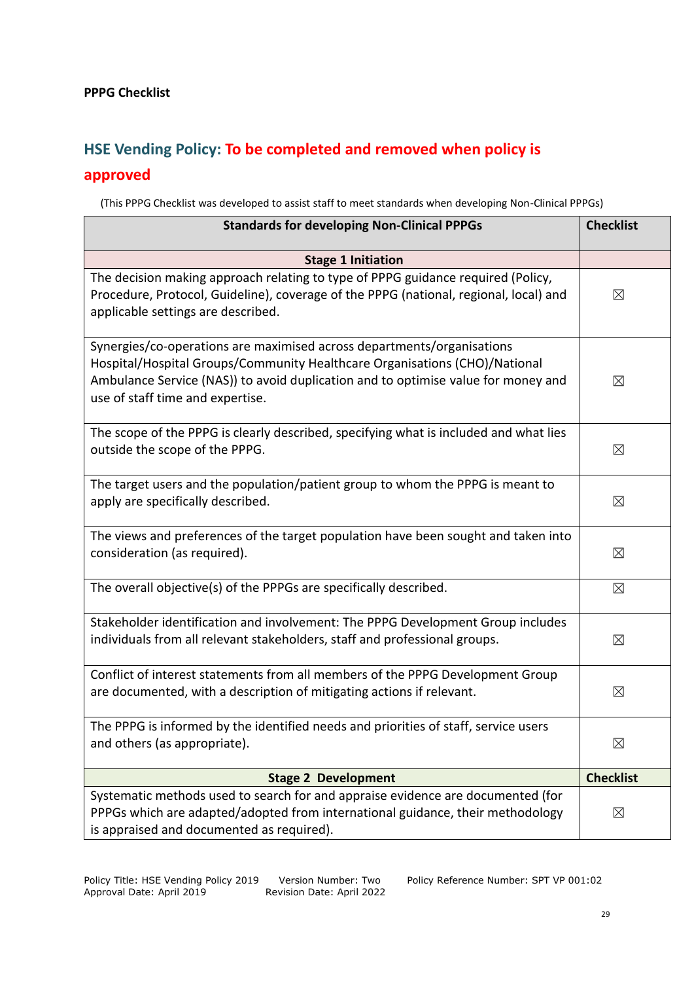# **HSE Vending Policy: To be completed and removed when policy is**

# **approved**

(This PPPG Checklist was developed to assist staff to meet standards when developing Non-Clinical PPPGs)

| <b>Standards for developing Non-Clinical PPPGs</b>                                                                                                                                                                                                                            |                  |  |
|-------------------------------------------------------------------------------------------------------------------------------------------------------------------------------------------------------------------------------------------------------------------------------|------------------|--|
| <b>Stage 1 Initiation</b>                                                                                                                                                                                                                                                     |                  |  |
| The decision making approach relating to type of PPPG guidance required (Policy,<br>Procedure, Protocol, Guideline), coverage of the PPPG (national, regional, local) and<br>applicable settings are described.                                                               | ⊠                |  |
| Synergies/co-operations are maximised across departments/organisations<br>Hospital/Hospital Groups/Community Healthcare Organisations (CHO)/National<br>Ambulance Service (NAS)) to avoid duplication and to optimise value for money and<br>use of staff time and expertise. | $\boxtimes$      |  |
| The scope of the PPPG is clearly described, specifying what is included and what lies<br>outside the scope of the PPPG.                                                                                                                                                       | $\boxtimes$      |  |
| The target users and the population/patient group to whom the PPPG is meant to<br>apply are specifically described.                                                                                                                                                           | ⊠                |  |
| The views and preferences of the target population have been sought and taken into<br>consideration (as required).                                                                                                                                                            | $\boxtimes$      |  |
| The overall objective(s) of the PPPGs are specifically described.                                                                                                                                                                                                             | ⊠                |  |
| Stakeholder identification and involvement: The PPPG Development Group includes<br>individuals from all relevant stakeholders, staff and professional groups.                                                                                                                 | ⊠                |  |
| Conflict of interest statements from all members of the PPPG Development Group<br>are documented, with a description of mitigating actions if relevant.                                                                                                                       | $\boxtimes$      |  |
| The PPPG is informed by the identified needs and priorities of staff, service users<br>and others (as appropriate).                                                                                                                                                           | $\boxtimes$      |  |
| <b>Stage 2 Development</b>                                                                                                                                                                                                                                                    | <b>Checklist</b> |  |
| Systematic methods used to search for and appraise evidence are documented (for<br>PPPGs which are adapted/adopted from international guidance, their methodology<br>is appraised and documented as required).                                                                | $\boxtimes$      |  |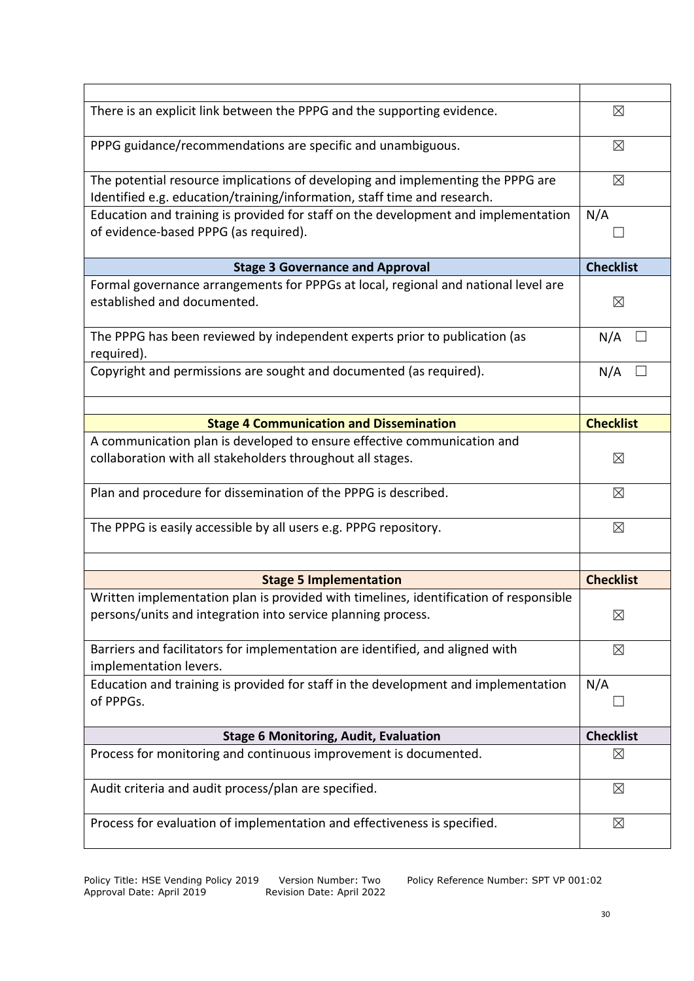| There is an explicit link between the PPPG and the supporting evidence.                                                                                     | $\boxtimes$      |
|-------------------------------------------------------------------------------------------------------------------------------------------------------------|------------------|
| PPPG guidance/recommendations are specific and unambiguous.                                                                                                 | $\boxtimes$      |
| The potential resource implications of developing and implementing the PPPG are<br>Identified e.g. education/training/information, staff time and research. | $\boxtimes$      |
| Education and training is provided for staff on the development and implementation<br>of evidence-based PPPG (as required).                                 | N/A              |
| <b>Stage 3 Governance and Approval</b>                                                                                                                      | <b>Checklist</b> |
| Formal governance arrangements for PPPGs at local, regional and national level are<br>established and documented.                                           | $\boxtimes$      |
| The PPPG has been reviewed by independent experts prior to publication (as<br>required).                                                                    | N/A              |
| Copyright and permissions are sought and documented (as required).                                                                                          | N/A              |
|                                                                                                                                                             |                  |
| <b>Stage 4 Communication and Dissemination</b><br>A communication plan is developed to ensure effective communication and                                   | <b>Checklist</b> |
| collaboration with all stakeholders throughout all stages.                                                                                                  | ⊠                |
| Plan and procedure for dissemination of the PPPG is described.                                                                                              | $\boxtimes$      |
| The PPPG is easily accessible by all users e.g. PPPG repository.                                                                                            | $\boxtimes$      |
| <b>Stage 5 Implementation</b>                                                                                                                               | <b>Checklist</b> |
| Written implementation plan is provided with timelines, identification of responsible                                                                       |                  |
| persons/units and integration into service planning process.                                                                                                | ⊠                |
| Barriers and facilitators for implementation are identified, and aligned with<br>implementation levers.                                                     | $\boxtimes$      |
| Education and training is provided for staff in the development and implementation<br>of PPPGs.                                                             | N/A              |
| <b>Stage 6 Monitoring, Audit, Evaluation</b>                                                                                                                | <b>Checklist</b> |
| Process for monitoring and continuous improvement is documented.                                                                                            | $\boxtimes$      |
| Audit criteria and audit process/plan are specified.                                                                                                        | $\boxtimes$      |
| Process for evaluation of implementation and effectiveness is specified.                                                                                    | $\boxtimes$      |
|                                                                                                                                                             |                  |